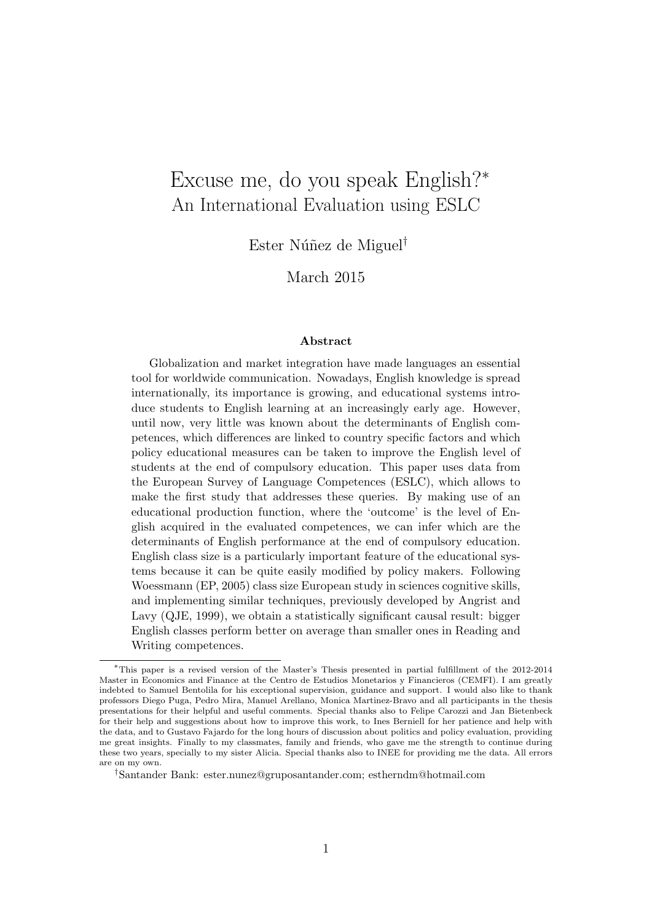# Excuse me, do you speak English?<sup>∗</sup> An International Evaluation using ESLC

Ester Núñez de Miguel<sup>†</sup>

March 2015

#### Abstract

Globalization and market integration have made languages an essential tool for worldwide communication. Nowadays, English knowledge is spread internationally, its importance is growing, and educational systems introduce students to English learning at an increasingly early age. However, until now, very little was known about the determinants of English competences, which differences are linked to country specific factors and which policy educational measures can be taken to improve the English level of students at the end of compulsory education. This paper uses data from the European Survey of Language Competences (ESLC), which allows to make the first study that addresses these queries. By making use of an educational production function, where the 'outcome' is the level of English acquired in the evaluated competences, we can infer which are the determinants of English performance at the end of compulsory education. English class size is a particularly important feature of the educational systems because it can be quite easily modified by policy makers. Following Woessmann (EP, 2005) class size European study in sciences cognitive skills, and implementing similar techniques, previously developed by Angrist and Lavy (QJE, 1999), we obtain a statistically significant causal result: bigger English classes perform better on average than smaller ones in Reading and Writing competences.

<sup>∗</sup>This paper is a revised version of the Master's Thesis presented in partial fulfillment of the 2012-2014 Master in Economics and Finance at the Centro de Estudios Monetarios y Financieros (CEMFI). I am greatly indebted to Samuel Bentolila for his exceptional supervision, guidance and support. I would also like to thank professors Diego Puga, Pedro Mira, Manuel Arellano, Monica Martinez-Bravo and all participants in the thesis presentations for their helpful and useful comments. Special thanks also to Felipe Carozzi and Jan Bietenbeck for their help and suggestions about how to improve this work, to Ines Berniell for her patience and help with the data, and to Gustavo Fajardo for the long hours of discussion about politics and policy evaluation, providing me great insights. Finally to my classmates, family and friends, who gave me the strength to continue during these two years, specially to my sister Alicia. Special thanks also to INEE for providing me the data. All errors are on my own.

<sup>†</sup>Santander Bank: ester.nunez@gruposantander.com; estherndm@hotmail.com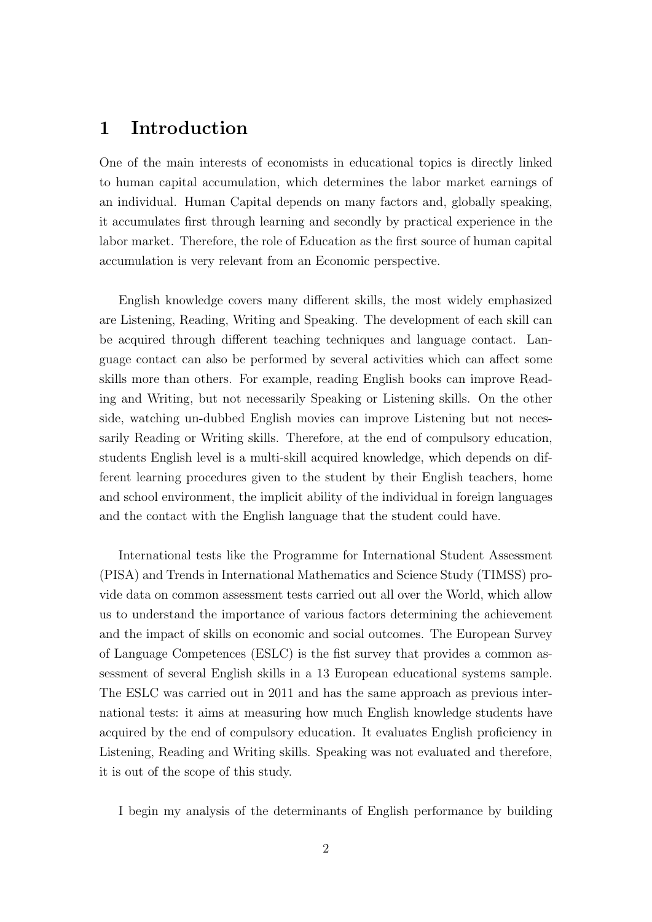# 1 Introduction

One of the main interests of economists in educational topics is directly linked to human capital accumulation, which determines the labor market earnings of an individual. Human Capital depends on many factors and, globally speaking, it accumulates first through learning and secondly by practical experience in the labor market. Therefore, the role of Education as the first source of human capital accumulation is very relevant from an Economic perspective.

English knowledge covers many different skills, the most widely emphasized are Listening, Reading, Writing and Speaking. The development of each skill can be acquired through different teaching techniques and language contact. Language contact can also be performed by several activities which can affect some skills more than others. For example, reading English books can improve Reading and Writing, but not necessarily Speaking or Listening skills. On the other side, watching un-dubbed English movies can improve Listening but not necessarily Reading or Writing skills. Therefore, at the end of compulsory education, students English level is a multi-skill acquired knowledge, which depends on different learning procedures given to the student by their English teachers, home and school environment, the implicit ability of the individual in foreign languages and the contact with the English language that the student could have.

International tests like the Programme for International Student Assessment (PISA) and Trends in International Mathematics and Science Study (TIMSS) provide data on common assessment tests carried out all over the World, which allow us to understand the importance of various factors determining the achievement and the impact of skills on economic and social outcomes. The European Survey of Language Competences (ESLC) is the fist survey that provides a common assessment of several English skills in a 13 European educational systems sample. The ESLC was carried out in 2011 and has the same approach as previous international tests: it aims at measuring how much English knowledge students have acquired by the end of compulsory education. It evaluates English proficiency in Listening, Reading and Writing skills. Speaking was not evaluated and therefore, it is out of the scope of this study.

I begin my analysis of the determinants of English performance by building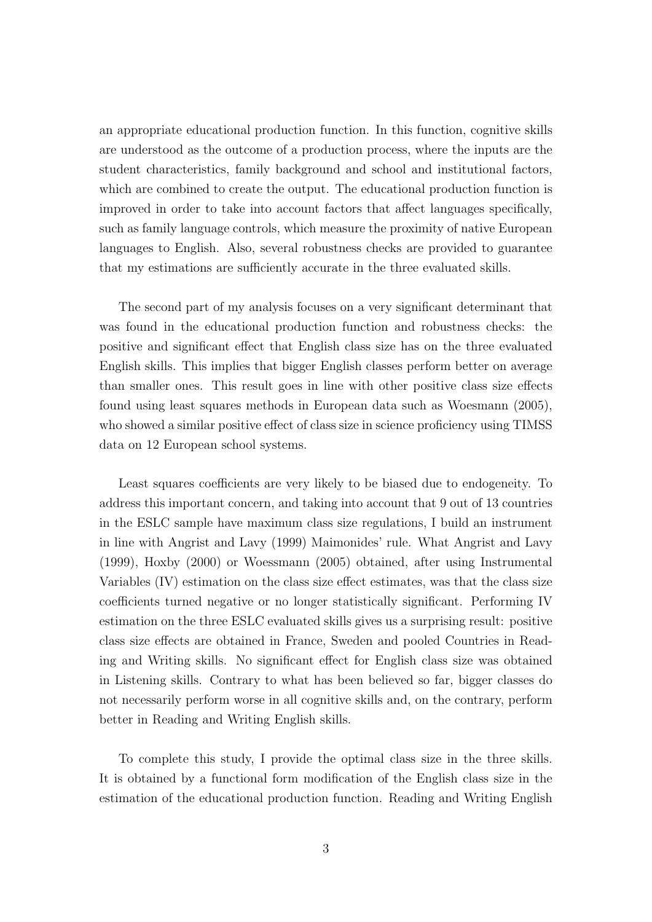an appropriate educational production function. In this function, cognitive skills are understood as the outcome of a production process, where the inputs are the student characteristics, family background and school and institutional factors, which are combined to create the output. The educational production function is improved in order to take into account factors that affect languages specifically, such as family language controls, which measure the proximity of native European languages to English. Also, several robustness checks are provided to guarantee that my estimations are sufficiently accurate in the three evaluated skills.

The second part of my analysis focuses on a very significant determinant that was found in the educational production function and robustness checks: the positive and significant effect that English class size has on the three evaluated English skills. This implies that bigger English classes perform better on average than smaller ones. This result goes in line with other positive class size effects found using least squares methods in European data such as Woesmann (2005), who showed a similar positive effect of class size in science proficiency using TIMSS data on 12 European school systems.

Least squares coefficients are very likely to be biased due to endogeneity. To address this important concern, and taking into account that 9 out of 13 countries in the ESLC sample have maximum class size regulations, I build an instrument in line with Angrist and Lavy (1999) Maimonides' rule. What Angrist and Lavy (1999), Hoxby (2000) or Woessmann (2005) obtained, after using Instrumental Variables (IV) estimation on the class size effect estimates, was that the class size coefficients turned negative or no longer statistically significant. Performing IV estimation on the three ESLC evaluated skills gives us a surprising result: positive class size effects are obtained in France, Sweden and pooled Countries in Reading and Writing skills. No significant effect for English class size was obtained in Listening skills. Contrary to what has been believed so far, bigger classes do not necessarily perform worse in all cognitive skills and, on the contrary, perform better in Reading and Writing English skills.

To complete this study, I provide the optimal class size in the three skills. It is obtained by a functional form modification of the English class size in the estimation of the educational production function. Reading and Writing English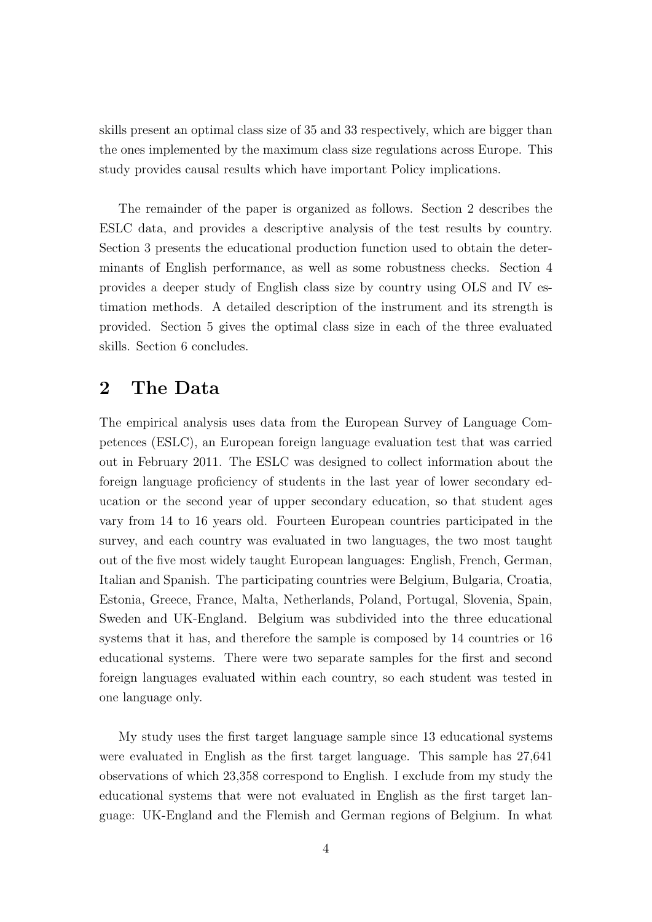skills present an optimal class size of 35 and 33 respectively, which are bigger than the ones implemented by the maximum class size regulations across Europe. This study provides causal results which have important Policy implications.

The remainder of the paper is organized as follows. Section 2 describes the ESLC data, and provides a descriptive analysis of the test results by country. Section 3 presents the educational production function used to obtain the determinants of English performance, as well as some robustness checks. Section 4 provides a deeper study of English class size by country using OLS and IV estimation methods. A detailed description of the instrument and its strength is provided. Section 5 gives the optimal class size in each of the three evaluated skills. Section 6 concludes.

### 2 The Data

The empirical analysis uses data from the European Survey of Language Competences (ESLC), an European foreign language evaluation test that was carried out in February 2011. The ESLC was designed to collect information about the foreign language proficiency of students in the last year of lower secondary education or the second year of upper secondary education, so that student ages vary from 14 to 16 years old. Fourteen European countries participated in the survey, and each country was evaluated in two languages, the two most taught out of the five most widely taught European languages: English, French, German, Italian and Spanish. The participating countries were Belgium, Bulgaria, Croatia, Estonia, Greece, France, Malta, Netherlands, Poland, Portugal, Slovenia, Spain, Sweden and UK-England. Belgium was subdivided into the three educational systems that it has, and therefore the sample is composed by 14 countries or 16 educational systems. There were two separate samples for the first and second foreign languages evaluated within each country, so each student was tested in one language only.

My study uses the first target language sample since 13 educational systems were evaluated in English as the first target language. This sample has 27,641 observations of which 23,358 correspond to English. I exclude from my study the educational systems that were not evaluated in English as the first target language: UK-England and the Flemish and German regions of Belgium. In what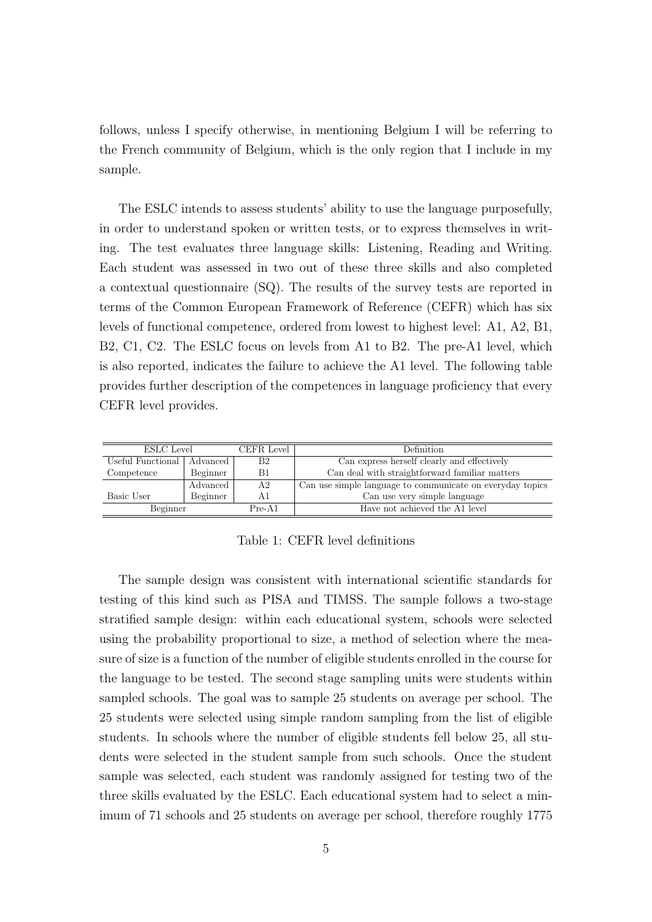follows, unless I specify otherwise, in mentioning Belgium I will be referring to the French community of Belgium, which is the only region that I include in my sample.

The ESLC intends to assess students' ability to use the language purposefully, in order to understand spoken or written tests, or to express themselves in writing. The test evaluates three language skills: Listening, Reading and Writing. Each student was assessed in two out of these three skills and also completed a contextual questionnaire (SQ). The results of the survey tests are reported in terms of the Common European Framework of Reference (CEFR) which has six levels of functional competence, ordered from lowest to highest level: A1, A2, B1, B2, C1, C2. The ESLC focus on levels from A1 to B2. The pre-A1 level, which is also reported, indicates the failure to achieve the A1 level. The following table provides further description of the competences in language proficiency that every CEFR level provides.

| ESLC Level                   |          | CEFR Level     | Definition                                                |
|------------------------------|----------|----------------|-----------------------------------------------------------|
| Useful Functional   Advanced |          | B <sub>2</sub> | Can express herself clearly and effectively               |
| Competence                   | Beginner | B1             | Can deal with straightforward familiar matters            |
|                              | Advanced | A2             | Can use simple language to communicate on everyday topics |
| Basic User                   | Beginner | A1             | Can use very simple language                              |
| Beginner                     |          | $Pre-A1$       | Have not achieved the A1 level                            |

Table 1: CEFR level definitions

The sample design was consistent with international scientific standards for testing of this kind such as PISA and TIMSS. The sample follows a two-stage stratified sample design: within each educational system, schools were selected using the probability proportional to size, a method of selection where the measure of size is a function of the number of eligible students enrolled in the course for the language to be tested. The second stage sampling units were students within sampled schools. The goal was to sample 25 students on average per school. The 25 students were selected using simple random sampling from the list of eligible students. In schools where the number of eligible students fell below 25, all students were selected in the student sample from such schools. Once the student sample was selected, each student was randomly assigned for testing two of the three skills evaluated by the ESLC. Each educational system had to select a minimum of 71 schools and 25 students on average per school, therefore roughly 1775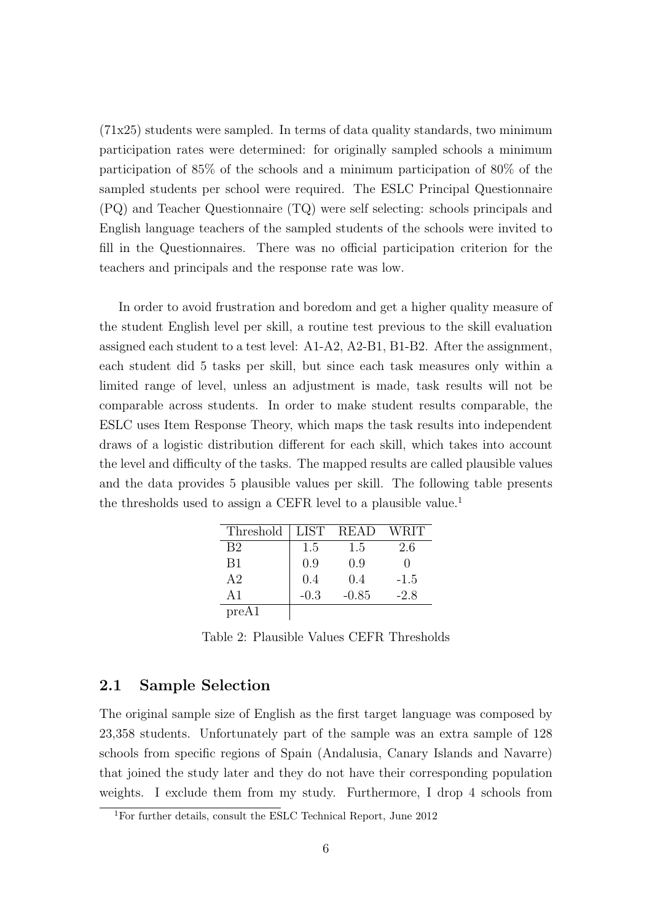$(71x25)$  students were sampled. In terms of data quality standards, two minimum participation rates were determined: for originally sampled schools a minimum participation of 85% of the schools and a minimum participation of 80% of the sampled students per school were required. The ESLC Principal Questionnaire (PQ) and Teacher Questionnaire (TQ) were self selecting: schools principals and English language teachers of the sampled students of the schools were invited to fill in the Questionnaires. There was no official participation criterion for the teachers and principals and the response rate was low.

In order to avoid frustration and boredom and get a higher quality measure of the student English level per skill, a routine test previous to the skill evaluation assigned each student to a test level: A1-A2, A2-B1, B1-B2. After the assignment, each student did 5 tasks per skill, but since each task measures only within a limited range of level, unless an adjustment is made, task results will not be comparable across students. In order to make student results comparable, the ESLC uses Item Response Theory, which maps the task results into independent draws of a logistic distribution different for each skill, which takes into account the level and difficulty of the tasks. The mapped results are called plausible values and the data provides 5 plausible values per skill. The following table presents the thresholds used to assign a CEFR level to a plausible value.<sup>1</sup>

| Threshold      | <b>LIST</b> | READ    | <b>WRIT</b> |
|----------------|-------------|---------|-------------|
| B <sub>2</sub> | 1.5         | 1.5     | 2.6         |
| B1             | 0.9         | 0.9     |             |
| A <sub>2</sub> | 0.4         | 0.4     | $-1.5$      |
| $\Delta$ 1     | $-0.3$      | $-0.85$ | $-2.8$      |
| preA1          |             |         |             |

Table 2: Plausible Values CEFR Thresholds

#### 2.1 Sample Selection

The original sample size of English as the first target language was composed by 23,358 students. Unfortunately part of the sample was an extra sample of 128 schools from specific regions of Spain (Andalusia, Canary Islands and Navarre) that joined the study later and they do not have their corresponding population weights. I exclude them from my study. Furthermore, I drop 4 schools from

<sup>1</sup>For further details, consult the ESLC Technical Report, June 2012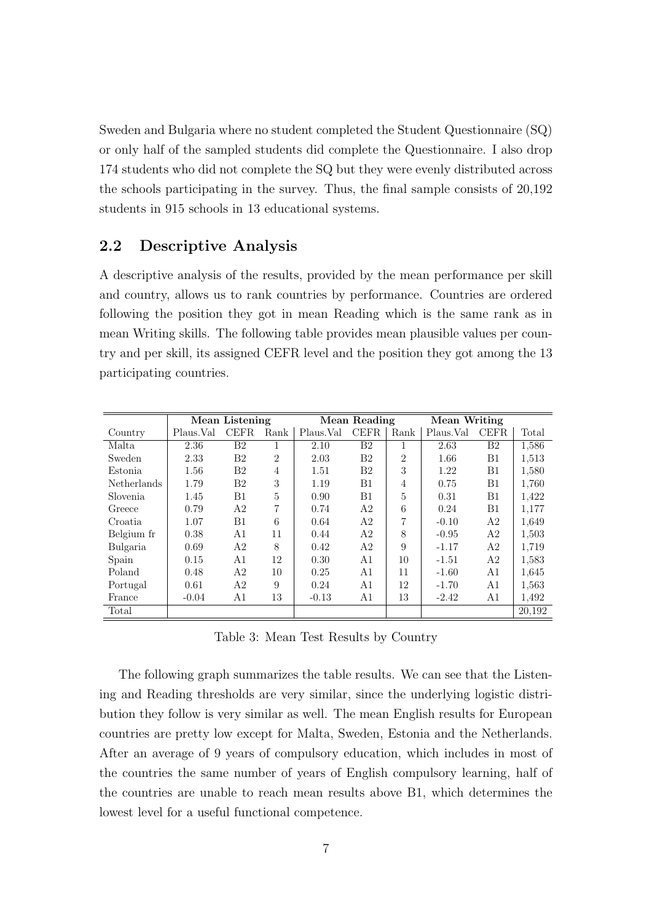Sweden and Bulgaria where no student completed the Student Questionnaire (SQ) or only half of the sampled students did complete the Questionnaire. I also drop 174 students who did not complete the SQ but they were evenly distributed across the schools participating in the survey. Thus, the final sample consists of 20,192 students in 915 schools in 13 educational systems.

### 2.2 Descriptive Analysis

A descriptive analysis of the results, provided by the mean performance per skill and country, allows us to rank countries by performance. Countries are ordered following the position they got in mean Reading which is the same rank as in mean Writing skills. The following table provides mean plausible values per country and per skill, its assigned CEFR level and the position they got among the 13 participating countries.

|             |           | Mean Listening |                |            | <b>Mean Reading</b> |                | Mean Writing |                |        |
|-------------|-----------|----------------|----------------|------------|---------------------|----------------|--------------|----------------|--------|
| Country     | Plaus.Val | CEFR.          | Rank           | Plaus. Val | <b>CEFR</b>         | Rank           | Plaus.Val    | <b>CEFR</b>    | Total  |
| Malta       | 2.36      | $_{\rm B2}$    |                | 2.10       | B <sub>2</sub>      |                | 2.63         | B <sub>2</sub> | 1,586  |
| Sweden      | 2.33      | B <sub>2</sub> | $\overline{2}$ | 2.03       | B <sub>2</sub>      | $\overline{2}$ | 1.66         | Β1             | 1,513  |
| Estonia     | 1.56      | B <sub>2</sub> | $\overline{4}$ | 1.51       | B <sub>2</sub>      | 3              | 1.22         | B1             | 1,580  |
| Netherlands | 1.79      | B <sub>2</sub> | 3              | 1.19       | B1                  | $\overline{4}$ | 0.75         | B1             | 1,760  |
| Slovenia.   | 1.45      | B1             | 5              | 0.90       | B1                  | 5              | 0.31         | B1             | 1,422  |
| Greece      | 0.79      | A2             | 7              | 0.74       | A2                  | 6              | 0.24         | B1             | 1,177  |
| Croatia     | 1.07      | B1             | 6              | 0.64       | A <sub>2</sub>      | 7              | $-0.10$      | A <sub>2</sub> | 1,649  |
| Belgium fr  | 0.38      | A <sub>1</sub> | 11             | 0.44       | A <sub>2</sub>      | 8              | $-0.95$      | A <sub>2</sub> | 1,503  |
| Bulgaria    | 0.69      | A <sub>2</sub> | 8              | 0.42       | A2                  | 9              | $-1.17$      | A <sub>2</sub> | 1,719  |
| Spain       | 0.15      | A1             | 12             | 0.30       | A1                  | 10             | $-1.51$      | A <sub>2</sub> | 1,583  |
| Poland      | 0.48      | A <sub>2</sub> | 10             | 0.25       | A1                  | 11             | $-1.60$      | A1             | 1,645  |
| Portugal    | 0.61      | A2             | 9              | 0.24       | A1                  | 12             | $-1.70$      | A1             | 1,563  |
| France      | $-0.04$   | A1             | 13             | $-0.13$    | A1                  | 13             | $-2.42$      | A1             | 1,492  |
| Total       |           |                |                |            |                     |                |              |                | 20.192 |

Table 3: Mean Test Results by Country

The following graph summarizes the table results. We can see that the Listening and Reading thresholds are very similar, since the underlying logistic distribution they follow is very similar as well. The mean English results for European countries are pretty low except for Malta, Sweden, Estonia and the Netherlands. After an average of 9 years of compulsory education, which includes in most of the countries the same number of years of English compulsory learning, half of the countries are unable to reach mean results above B1, which determines the lowest level for a useful functional competence.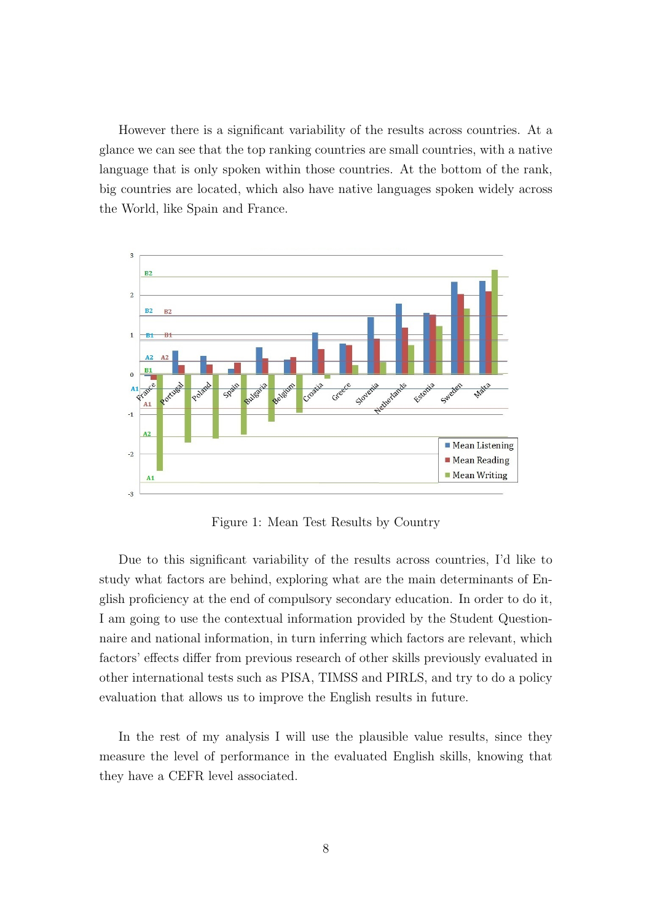However there is a significant variability of the results across countries. At a glance we can see that the top ranking countries are small countries, with a native language that is only spoken within those countries. At the bottom of the rank, big countries are located, which also have native languages spoken widely across the World, like Spain and France.



Figure 1: Mean Test Results by Country

Due to this significant variability of the results across countries, I'd like to study what factors are behind, exploring what are the main determinants of English proficiency at the end of compulsory secondary education. In order to do it, I am going to use the contextual information provided by the Student Questionnaire and national information, in turn inferring which factors are relevant, which factors' effects differ from previous research of other skills previously evaluated in other international tests such as PISA, TIMSS and PIRLS, and try to do a policy evaluation that allows us to improve the English results in future.

In the rest of my analysis I will use the plausible value results, since they measure the level of performance in the evaluated English skills, knowing that they have a CEFR level associated.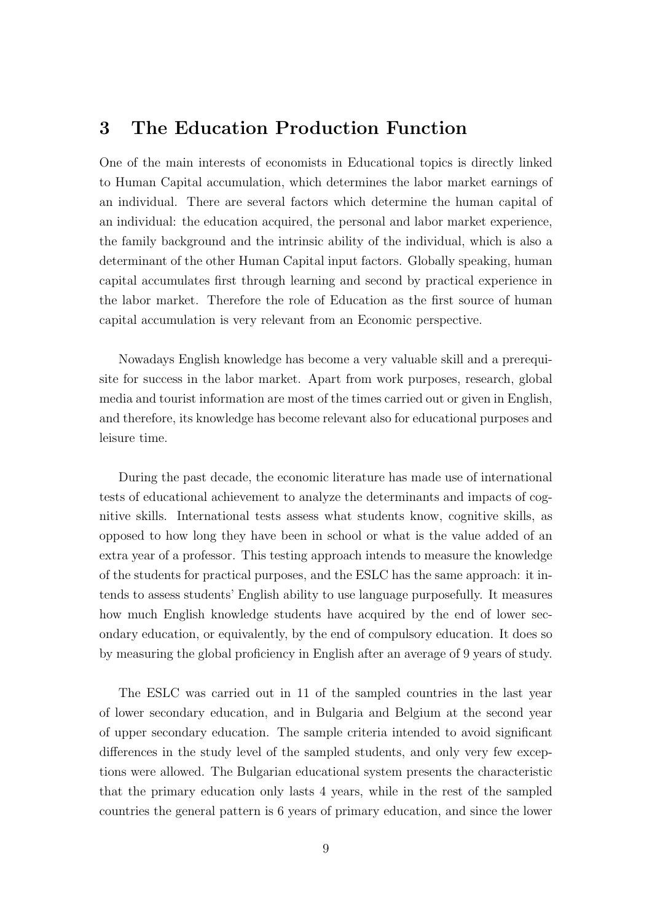### 3 The Education Production Function

One of the main interests of economists in Educational topics is directly linked to Human Capital accumulation, which determines the labor market earnings of an individual. There are several factors which determine the human capital of an individual: the education acquired, the personal and labor market experience, the family background and the intrinsic ability of the individual, which is also a determinant of the other Human Capital input factors. Globally speaking, human capital accumulates first through learning and second by practical experience in the labor market. Therefore the role of Education as the first source of human capital accumulation is very relevant from an Economic perspective.

Nowadays English knowledge has become a very valuable skill and a prerequisite for success in the labor market. Apart from work purposes, research, global media and tourist information are most of the times carried out or given in English, and therefore, its knowledge has become relevant also for educational purposes and leisure time.

During the past decade, the economic literature has made use of international tests of educational achievement to analyze the determinants and impacts of cognitive skills. International tests assess what students know, cognitive skills, as opposed to how long they have been in school or what is the value added of an extra year of a professor. This testing approach intends to measure the knowledge of the students for practical purposes, and the ESLC has the same approach: it intends to assess students' English ability to use language purposefully. It measures how much English knowledge students have acquired by the end of lower secondary education, or equivalently, by the end of compulsory education. It does so by measuring the global proficiency in English after an average of 9 years of study.

The ESLC was carried out in 11 of the sampled countries in the last year of lower secondary education, and in Bulgaria and Belgium at the second year of upper secondary education. The sample criteria intended to avoid significant differences in the study level of the sampled students, and only very few exceptions were allowed. The Bulgarian educational system presents the characteristic that the primary education only lasts 4 years, while in the rest of the sampled countries the general pattern is 6 years of primary education, and since the lower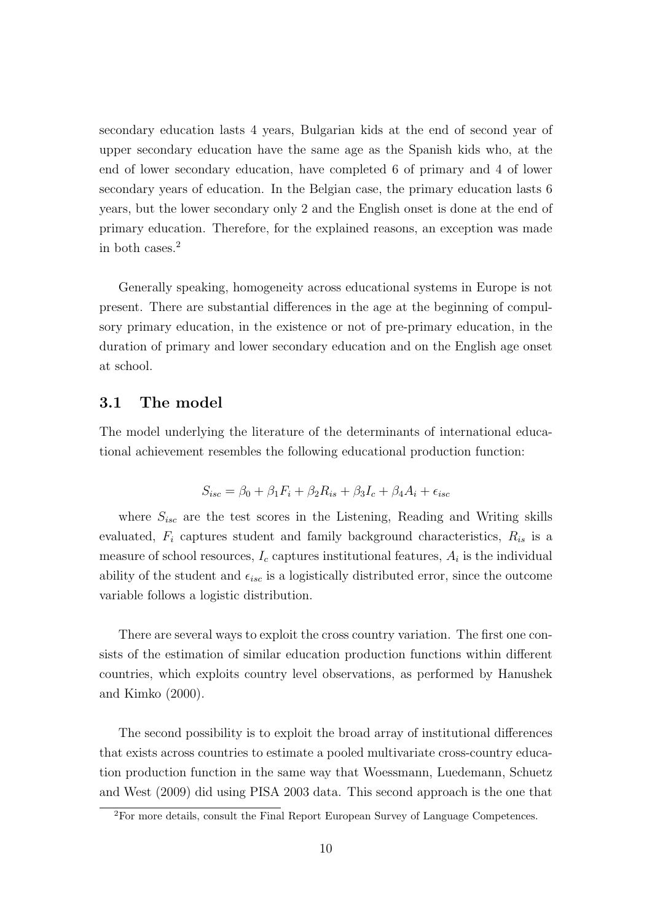secondary education lasts 4 years, Bulgarian kids at the end of second year of upper secondary education have the same age as the Spanish kids who, at the end of lower secondary education, have completed 6 of primary and 4 of lower secondary years of education. In the Belgian case, the primary education lasts 6 years, but the lower secondary only 2 and the English onset is done at the end of primary education. Therefore, for the explained reasons, an exception was made in both cases.<sup>2</sup>

Generally speaking, homogeneity across educational systems in Europe is not present. There are substantial differences in the age at the beginning of compulsory primary education, in the existence or not of pre-primary education, in the duration of primary and lower secondary education and on the English age onset at school.

#### 3.1 The model

The model underlying the literature of the determinants of international educational achievement resembles the following educational production function:

$$
S_{isc} = \beta_0 + \beta_1 F_i + \beta_2 R_{is} + \beta_3 I_c + \beta_4 A_i + \epsilon_{isc}
$$

where  $S_{isc}$  are the test scores in the Listening, Reading and Writing skills evaluated,  $F_i$  captures student and family background characteristics,  $R_{is}$  is a measure of school resources,  $I_c$  captures institutional features,  $A_i$  is the individual ability of the student and  $\epsilon_{isc}$  is a logistically distributed error, since the outcome variable follows a logistic distribution.

There are several ways to exploit the cross country variation. The first one consists of the estimation of similar education production functions within different countries, which exploits country level observations, as performed by Hanushek and Kimko (2000).

The second possibility is to exploit the broad array of institutional differences that exists across countries to estimate a pooled multivariate cross-country education production function in the same way that Woessmann, Luedemann, Schuetz and West (2009) did using PISA 2003 data. This second approach is the one that

<sup>2</sup>For more details, consult the Final Report European Survey of Language Competences.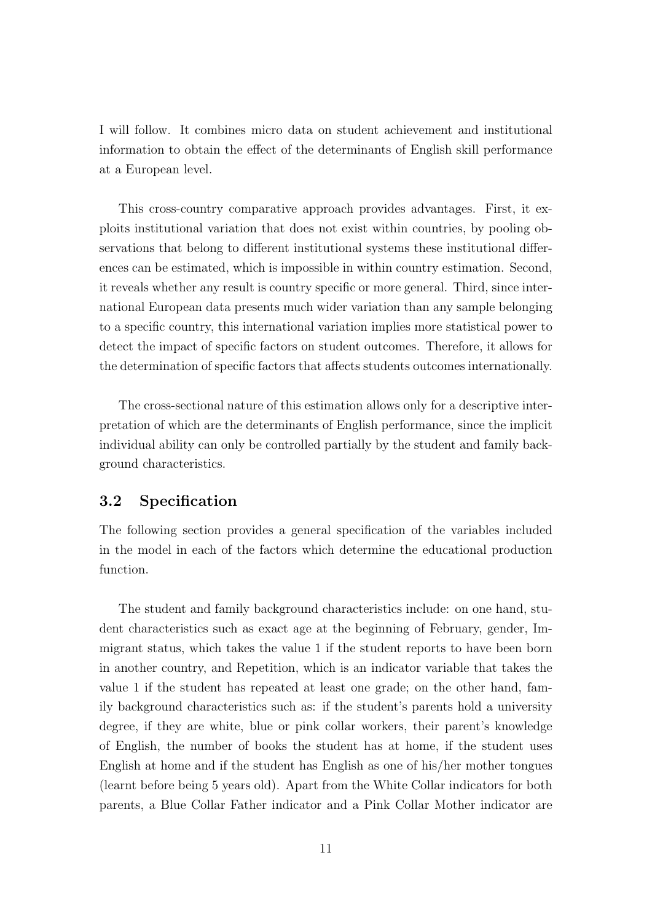I will follow. It combines micro data on student achievement and institutional information to obtain the effect of the determinants of English skill performance at a European level.

This cross-country comparative approach provides advantages. First, it exploits institutional variation that does not exist within countries, by pooling observations that belong to different institutional systems these institutional differences can be estimated, which is impossible in within country estimation. Second, it reveals whether any result is country specific or more general. Third, since international European data presents much wider variation than any sample belonging to a specific country, this international variation implies more statistical power to detect the impact of specific factors on student outcomes. Therefore, it allows for the determination of specific factors that affects students outcomes internationally.

The cross-sectional nature of this estimation allows only for a descriptive interpretation of which are the determinants of English performance, since the implicit individual ability can only be controlled partially by the student and family background characteristics.

### 3.2 Specification

The following section provides a general specification of the variables included in the model in each of the factors which determine the educational production function.

The student and family background characteristics include: on one hand, student characteristics such as exact age at the beginning of February, gender, Immigrant status, which takes the value 1 if the student reports to have been born in another country, and Repetition, which is an indicator variable that takes the value 1 if the student has repeated at least one grade; on the other hand, family background characteristics such as: if the student's parents hold a university degree, if they are white, blue or pink collar workers, their parent's knowledge of English, the number of books the student has at home, if the student uses English at home and if the student has English as one of his/her mother tongues (learnt before being 5 years old). Apart from the White Collar indicators for both parents, a Blue Collar Father indicator and a Pink Collar Mother indicator are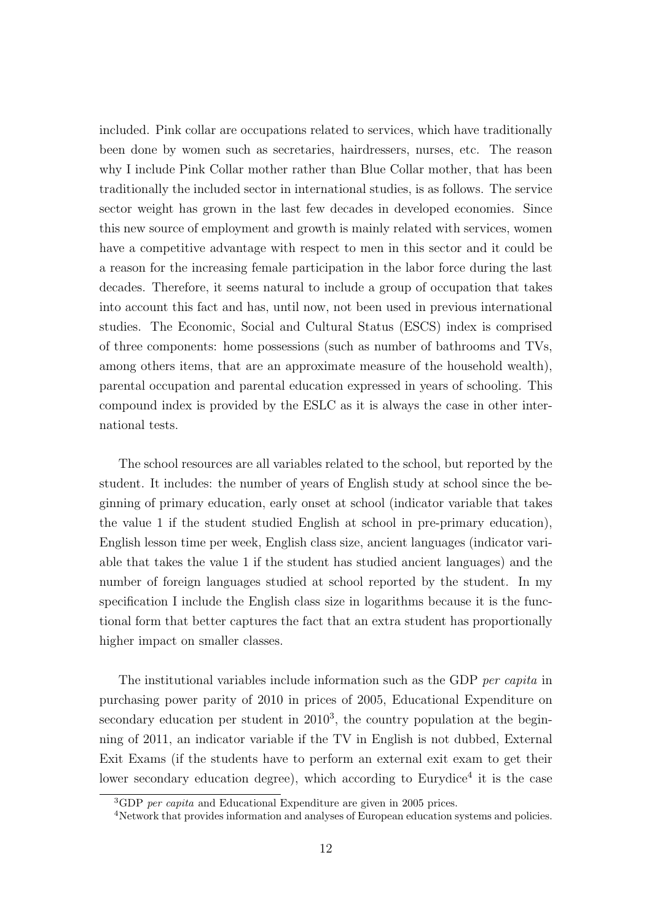included. Pink collar are occupations related to services, which have traditionally been done by women such as secretaries, hairdressers, nurses, etc. The reason why I include Pink Collar mother rather than Blue Collar mother, that has been traditionally the included sector in international studies, is as follows. The service sector weight has grown in the last few decades in developed economies. Since this new source of employment and growth is mainly related with services, women have a competitive advantage with respect to men in this sector and it could be a reason for the increasing female participation in the labor force during the last decades. Therefore, it seems natural to include a group of occupation that takes into account this fact and has, until now, not been used in previous international studies. The Economic, Social and Cultural Status (ESCS) index is comprised of three components: home possessions (such as number of bathrooms and TVs, among others items, that are an approximate measure of the household wealth), parental occupation and parental education expressed in years of schooling. This compound index is provided by the ESLC as it is always the case in other international tests.

The school resources are all variables related to the school, but reported by the student. It includes: the number of years of English study at school since the beginning of primary education, early onset at school (indicator variable that takes the value 1 if the student studied English at school in pre-primary education), English lesson time per week, English class size, ancient languages (indicator variable that takes the value 1 if the student has studied ancient languages) and the number of foreign languages studied at school reported by the student. In my specification I include the English class size in logarithms because it is the functional form that better captures the fact that an extra student has proportionally higher impact on smaller classes.

The institutional variables include information such as the GDP per capita in purchasing power parity of 2010 in prices of 2005, Educational Expenditure on secondary education per student in  $2010<sup>3</sup>$ , the country population at the beginning of 2011, an indicator variable if the TV in English is not dubbed, External Exit Exams (if the students have to perform an external exit exam to get their lower secondary education degree), which according to Eurydice<sup>4</sup> it is the case

<sup>&</sup>lt;sup>3</sup>GDP per capita and Educational Expenditure are given in 2005 prices.

<sup>4</sup>Network that provides information and analyses of European education systems and policies.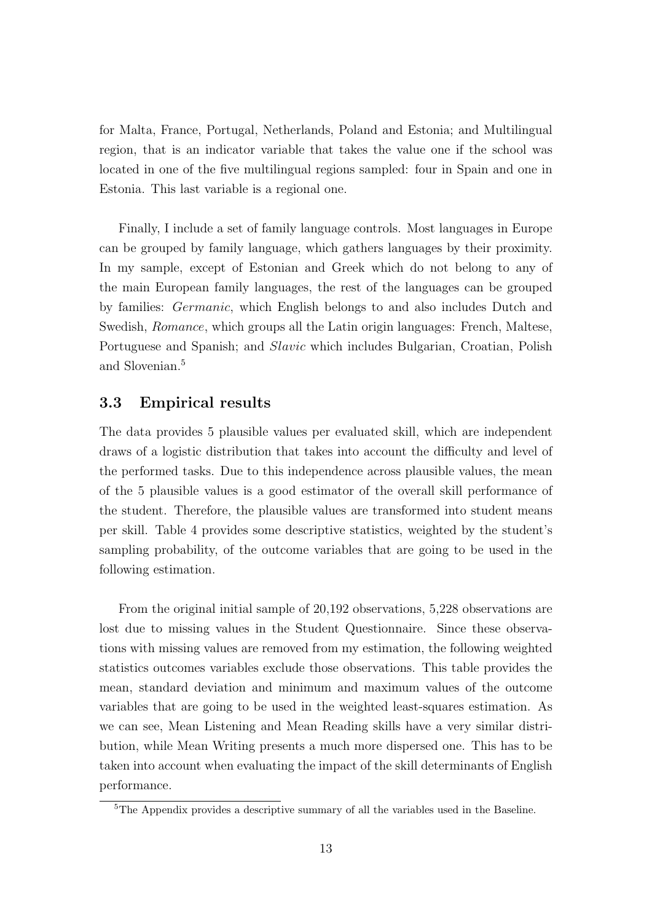for Malta, France, Portugal, Netherlands, Poland and Estonia; and Multilingual region, that is an indicator variable that takes the value one if the school was located in one of the five multilingual regions sampled: four in Spain and one in Estonia. This last variable is a regional one.

Finally, I include a set of family language controls. Most languages in Europe can be grouped by family language, which gathers languages by their proximity. In my sample, except of Estonian and Greek which do not belong to any of the main European family languages, the rest of the languages can be grouped by families: Germanic, which English belongs to and also includes Dutch and Swedish, Romance, which groups all the Latin origin languages: French, Maltese, Portuguese and Spanish; and *Slavic* which includes Bulgarian, Croatian, Polish and Slovenian.<sup>5</sup>

### 3.3 Empirical results

The data provides 5 plausible values per evaluated skill, which are independent draws of a logistic distribution that takes into account the difficulty and level of the performed tasks. Due to this independence across plausible values, the mean of the 5 plausible values is a good estimator of the overall skill performance of the student. Therefore, the plausible values are transformed into student means per skill. Table 4 provides some descriptive statistics, weighted by the student's sampling probability, of the outcome variables that are going to be used in the following estimation.

From the original initial sample of 20,192 observations, 5,228 observations are lost due to missing values in the Student Questionnaire. Since these observations with missing values are removed from my estimation, the following weighted statistics outcomes variables exclude those observations. This table provides the mean, standard deviation and minimum and maximum values of the outcome variables that are going to be used in the weighted least-squares estimation. As we can see, Mean Listening and Mean Reading skills have a very similar distribution, while Mean Writing presents a much more dispersed one. This has to be taken into account when evaluating the impact of the skill determinants of English performance.

<sup>&</sup>lt;sup>5</sup>The Appendix provides a descriptive summary of all the variables used in the Baseline.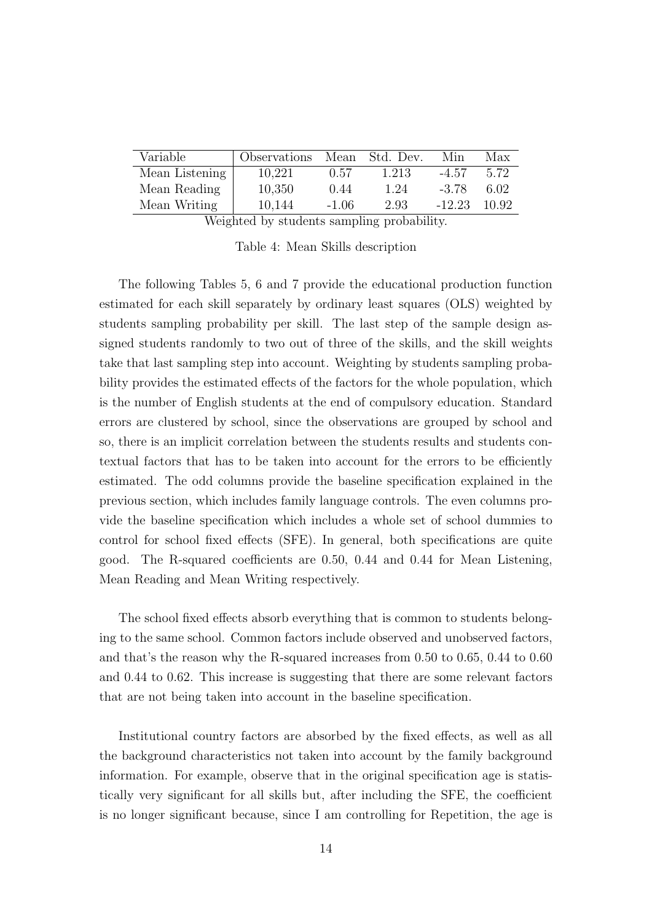| Variable       | Observations   | Mean    | Std. Dev. | Min      | Max    |
|----------------|----------------|---------|-----------|----------|--------|
| Mean Listening | 10,221         | 0.57    | 1.213     | $-4.57$  | 5.72   |
| Mean Reading   | 10,350         | 0.44    | 1.24      | $-3.78$  | 6.02   |
| Mean Writing   | 10,144         | $-1.06$ | 2.93      | $-12.23$ | -10.92 |
|                | ************** |         |           |          |        |

Weighted by students sampling probability.

Table 4: Mean Skills description

The following Tables 5, 6 and 7 provide the educational production function estimated for each skill separately by ordinary least squares (OLS) weighted by students sampling probability per skill. The last step of the sample design assigned students randomly to two out of three of the skills, and the skill weights take that last sampling step into account. Weighting by students sampling probability provides the estimated effects of the factors for the whole population, which is the number of English students at the end of compulsory education. Standard errors are clustered by school, since the observations are grouped by school and so, there is an implicit correlation between the students results and students contextual factors that has to be taken into account for the errors to be efficiently estimated. The odd columns provide the baseline specification explained in the previous section, which includes family language controls. The even columns provide the baseline specification which includes a whole set of school dummies to control for school fixed effects (SFE). In general, both specifications are quite good. The R-squared coefficients are 0.50, 0.44 and 0.44 for Mean Listening, Mean Reading and Mean Writing respectively.

The school fixed effects absorb everything that is common to students belonging to the same school. Common factors include observed and unobserved factors, and that's the reason why the R-squared increases from 0.50 to 0.65, 0.44 to 0.60 and 0.44 to 0.62. This increase is suggesting that there are some relevant factors that are not being taken into account in the baseline specification.

Institutional country factors are absorbed by the fixed effects, as well as all the background characteristics not taken into account by the family background information. For example, observe that in the original specification age is statistically very significant for all skills but, after including the SFE, the coefficient is no longer significant because, since I am controlling for Repetition, the age is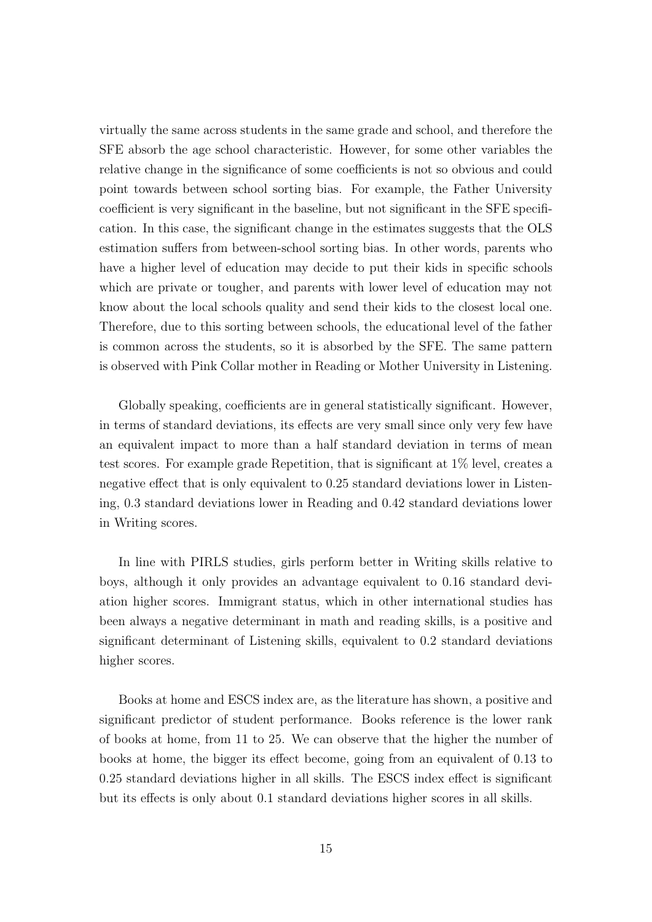virtually the same across students in the same grade and school, and therefore the SFE absorb the age school characteristic. However, for some other variables the relative change in the significance of some coefficients is not so obvious and could point towards between school sorting bias. For example, the Father University coefficient is very significant in the baseline, but not significant in the SFE specification. In this case, the significant change in the estimates suggests that the OLS estimation suffers from between-school sorting bias. In other words, parents who have a higher level of education may decide to put their kids in specific schools which are private or tougher, and parents with lower level of education may not know about the local schools quality and send their kids to the closest local one. Therefore, due to this sorting between schools, the educational level of the father is common across the students, so it is absorbed by the SFE. The same pattern is observed with Pink Collar mother in Reading or Mother University in Listening.

Globally speaking, coefficients are in general statistically significant. However, in terms of standard deviations, its effects are very small since only very few have an equivalent impact to more than a half standard deviation in terms of mean test scores. For example grade Repetition, that is significant at 1% level, creates a negative effect that is only equivalent to 0.25 standard deviations lower in Listening, 0.3 standard deviations lower in Reading and 0.42 standard deviations lower in Writing scores.

In line with PIRLS studies, girls perform better in Writing skills relative to boys, although it only provides an advantage equivalent to 0.16 standard deviation higher scores. Immigrant status, which in other international studies has been always a negative determinant in math and reading skills, is a positive and significant determinant of Listening skills, equivalent to 0.2 standard deviations higher scores.

Books at home and ESCS index are, as the literature has shown, a positive and significant predictor of student performance. Books reference is the lower rank of books at home, from 11 to 25. We can observe that the higher the number of books at home, the bigger its effect become, going from an equivalent of 0.13 to 0.25 standard deviations higher in all skills. The ESCS index effect is significant but its effects is only about 0.1 standard deviations higher scores in all skills.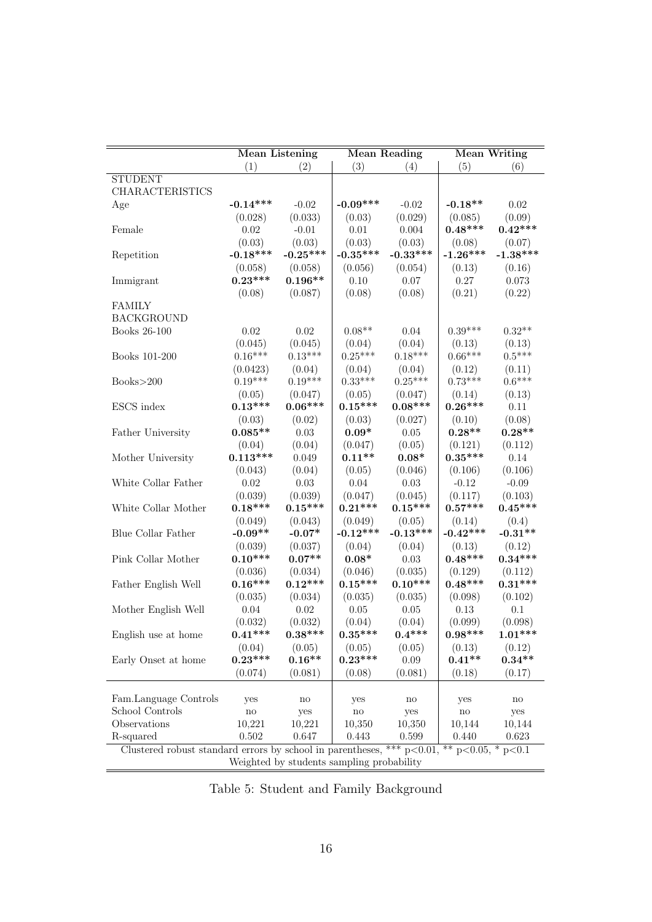|                                                                                           | <b>Mean Listening</b> |                        | <b>Mean Reading</b> |                        |                     | <b>Mean Writing</b>    |  |
|-------------------------------------------------------------------------------------------|-----------------------|------------------------|---------------------|------------------------|---------------------|------------------------|--|
|                                                                                           | (1)                   | (2)                    | (3)                 | (4)                    | (5)                 | (6)                    |  |
| <b>STUDENT</b>                                                                            |                       |                        |                     |                        |                     |                        |  |
| <b>CHARACTERISTICS</b>                                                                    |                       |                        |                     |                        |                     |                        |  |
| Age                                                                                       | $-0.14***$            | $-0.02$                | $-0.09***$          | $-0.02$                | $-0.18**$           | 0.02                   |  |
|                                                                                           | (0.028)               | (0.033)                | (0.03)              | (0.029)                | (0.085)             | (0.09)                 |  |
| Female                                                                                    | 0.02                  | $-0.01$                | 0.01                | 0.004                  | $0.48***$           | $0.42***$              |  |
|                                                                                           | (0.03)                | (0.03)                 | (0.03)              | (0.03)                 | (0.08)              | (0.07)                 |  |
| Repetition                                                                                | $-0.18***$            | $-0.25***$             | $-0.35***$          | $-0.33***$             | $-1.26***$          | $-1.38***$             |  |
|                                                                                           | (0.058)               | (0.058)                | (0.056)             | (0.054)                | (0.13)              | (0.16)                 |  |
| Immigrant                                                                                 | $0.23***$             | $0.196**$              | $0.10\,$            | 0.07                   | 0.27                | 0.073                  |  |
|                                                                                           | (0.08)                | (0.087)                | (0.08)              | (0.08)                 | (0.21)              | (0.22)                 |  |
| <b>FAMILY</b>                                                                             |                       |                        |                     |                        |                     |                        |  |
| <b>BACKGROUND</b>                                                                         |                       |                        |                     |                        |                     |                        |  |
| Books 26-100                                                                              | 0.02                  | 0.02                   | $0.08**$            | 0.04                   | $0.39***$           | $0.32**$               |  |
|                                                                                           | (0.045)               | (0.045)                | (0.04)              | (0.04)                 | (0.13)              | (0.13)                 |  |
| Books 101-200                                                                             | $0.16***$             | $0.13***$              | $0.25***$           | $0.18***$              | $0.66***$           | $0.5***$               |  |
|                                                                                           | (0.0423)              | (0.04)                 | (0.04)              | (0.04)                 | (0.12)              | (0.11)                 |  |
| Books > 200                                                                               | $0.19***$             | $0.19***$              | $0.33***$           | $0.25***$              | $0.73***$           | $0.6***$               |  |
|                                                                                           | (0.05)                | (0.047)                | (0.05)              | (0.047)                | (0.14)              | (0.13)                 |  |
| ESCS index                                                                                | $0.13***$             | $0.06***$              | $0.15***$           | $0.08***$              | $0.26***$           | 0.11                   |  |
|                                                                                           | (0.03)                | (0.02)                 | (0.03)              | (0.027)                | (0.10)              | (0.08)                 |  |
| Father University                                                                         | $0.085**$             | $0.03\,$               | $0.09*$             | 0.05                   | $0.28**$            | $0.28**$               |  |
|                                                                                           | (0.04)                | (0.04)                 | (0.047)             | (0.05)                 | (0.121)             | (0.112)                |  |
| Mother University                                                                         | $0.113***$            | 0.049                  | $0.11**$            | $0.08*$                | $0.35***$           | 0.14                   |  |
|                                                                                           | (0.043)               | (0.04)                 | (0.05)              | (0.046)                | (0.106)             | (0.106)                |  |
| White Collar Father                                                                       | $0.02\,$              | $0.03\,$               | 0.04                | $0.03\,$               | $-0.12$             | $-0.09$                |  |
|                                                                                           | (0.039)               | (0.039)                | (0.047)             | (0.045)                | (0.117)             | (0.103)                |  |
| White Collar Mother                                                                       | $0.18***$             | $0.15***$              | $0.21***$           | $0.15***$              | $0.57***$           | $0.45***$              |  |
|                                                                                           | (0.049)               | (0.043)                | (0.049)             | (0.05)                 | (0.14)              | (0.4)                  |  |
| Blue Collar Father                                                                        | $-0.09**$             | $-0.07*$               | $-0.12***$          | $-0.13***$             | $-0.42***$          | $-0.31**$              |  |
|                                                                                           | (0.039)               | (0.037)                | (0.04)              | (0.04)                 | (0.13)              | (0.12)                 |  |
| Pink Collar Mother                                                                        | $0.10***$             | $0.07**$               | $0.08*$             | $0.03\,$               | $0.48***$           | $0.34***$              |  |
|                                                                                           | (0.036)               | (0.034)                | (0.046)             | (0.035)                | (0.129)             | (0.112)                |  |
| Father English Well                                                                       | $0.16***$             | $0.12***$              | $0.15***$           | $0.10***$              | $0.48***$           | $0.31***$              |  |
|                                                                                           | (0.035)               | (0.034)                | (0.035)             | (0.035)                | (0.098)             | (0.102)                |  |
| Mother English Well                                                                       | 0.04                  | 0.02                   | 0.05                | 0.05                   | 0.13                | 0.1                    |  |
|                                                                                           | (0.032)               | (0.032)                | (0.04)              | (0.04)                 | (0.099)             | (0.098)                |  |
| English use at home                                                                       | $0.41***$             | $0.38***$              | $0.35***$           | $0.4***$               | $0.98***$           | $1.01***$              |  |
|                                                                                           | (0.04)                | (0.05)                 | (0.05)              | (0.05)                 | (0.13)              | (0.12)                 |  |
| Early Onset at home                                                                       | $0.23***$             | $0.16**$               | $0.23***$           | $0.09\,$               | $0.41**$            | $0.34**$               |  |
|                                                                                           | (0.074)               | (0.081)                | (0.08)              | (0.081)                | (0.18)              | (0.17)                 |  |
|                                                                                           |                       |                        |                     |                        |                     |                        |  |
| Fam.Language Controls                                                                     | yes                   | $\mathop{\mathrm{no}}$ | yes                 | $\mathop{\mathrm{no}}$ | yes                 | $\mathop{\mathrm{no}}$ |  |
| School Controls                                                                           | $\rm {no}$            | yes                    | no                  | yes                    | $\operatorname{no}$ | yes                    |  |
| Observations                                                                              | 10,221                | 10,221                 | 10,350              | 10,350                 | 10,144              | 10,144                 |  |
| R-squared                                                                                 | 0.502                 | 0.647                  | 0.443               | 0.599                  | 0.440               | 0.623                  |  |
| Clustered robust standard errors by school in parentheses, *** $p<0.01$ , ** $p<0.05$ , * |                       |                        |                     |                        |                     | p<0.1                  |  |
| Weighted by students sampling probability                                                 |                       |                        |                     |                        |                     |                        |  |

Table 5: Student and Family Background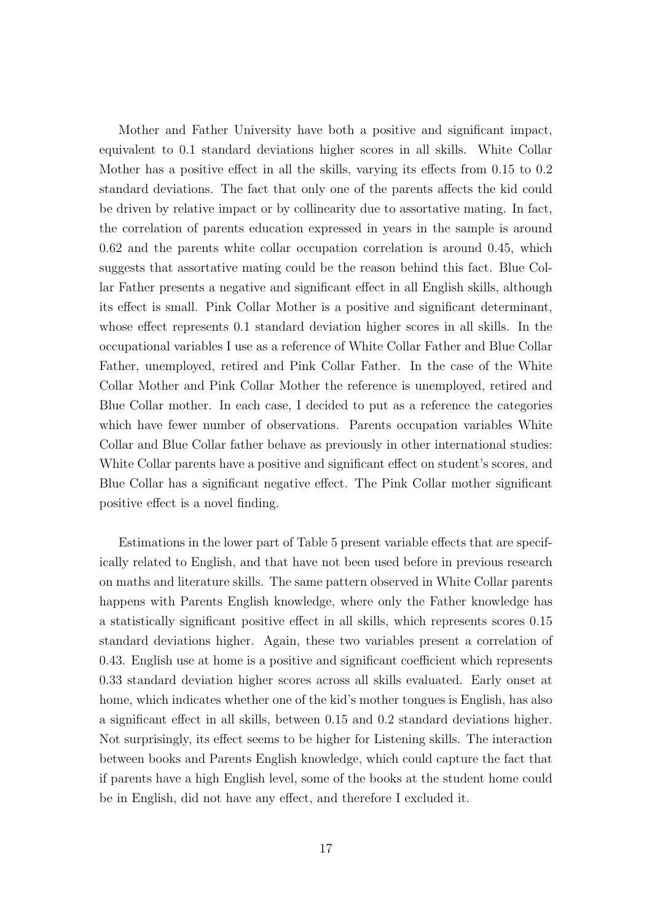Mother and Father University have both a positive and significant impact, equivalent to 0.1 standard deviations higher scores in all skills. White Collar Mother has a positive effect in all the skills, varying its effects from 0.15 to 0.2 standard deviations. The fact that only one of the parents affects the kid could be driven by relative impact or by collinearity due to assortative mating. In fact, the correlation of parents education expressed in years in the sample is around 0.62 and the parents white collar occupation correlation is around 0.45, which suggests that assortative mating could be the reason behind this fact. Blue Collar Father presents a negative and significant effect in all English skills, although its effect is small. Pink Collar Mother is a positive and significant determinant, whose effect represents 0.1 standard deviation higher scores in all skills. In the occupational variables I use as a reference of White Collar Father and Blue Collar Father, unemployed, retired and Pink Collar Father. In the case of the White Collar Mother and Pink Collar Mother the reference is unemployed, retired and Blue Collar mother. In each case, I decided to put as a reference the categories which have fewer number of observations. Parents occupation variables White Collar and Blue Collar father behave as previously in other international studies: White Collar parents have a positive and significant effect on student's scores, and Blue Collar has a significant negative effect. The Pink Collar mother significant positive effect is a novel finding.

Estimations in the lower part of Table 5 present variable effects that are specifically related to English, and that have not been used before in previous research on maths and literature skills. The same pattern observed in White Collar parents happens with Parents English knowledge, where only the Father knowledge has a statistically significant positive effect in all skills, which represents scores 0.15 standard deviations higher. Again, these two variables present a correlation of 0.43. English use at home is a positive and significant coefficient which represents 0.33 standard deviation higher scores across all skills evaluated. Early onset at home, which indicates whether one of the kid's mother tongues is English, has also a significant effect in all skills, between 0.15 and 0.2 standard deviations higher. Not surprisingly, its effect seems to be higher for Listening skills. The interaction between books and Parents English knowledge, which could capture the fact that if parents have a high English level, some of the books at the student home could be in English, did not have any effect, and therefore I excluded it.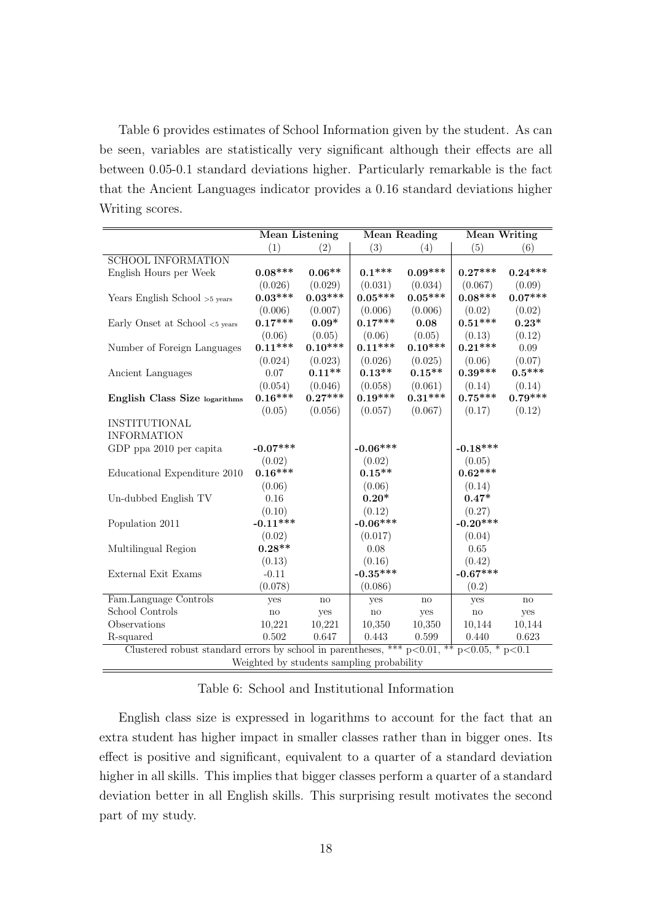Table 6 provides estimates of School Information given by the student. As can be seen, variables are statistically very significant although their effects are all between 0.05-0.1 standard deviations higher. Particularly remarkable is the fact that the Ancient Languages indicator provides a 0.16 standard deviations higher Writing scores.

|                                                                                                   |              | <b>Mean Listening</b><br><b>Mean Reading</b><br><b>Mean Writing</b> |                                           |           |                        |               |
|---------------------------------------------------------------------------------------------------|--------------|---------------------------------------------------------------------|-------------------------------------------|-----------|------------------------|---------------|
|                                                                                                   | (1)          | (2)                                                                 | (3)                                       | (4)       | (5)                    | (6)           |
| <b>SCHOOL INFORMATION</b>                                                                         |              |                                                                     |                                           |           |                        |               |
| English Hours per Week                                                                            | $0.08***$    | $0.06**$                                                            | $0.1***$                                  | $0.09***$ | $0.27***$              | $0.24***$     |
|                                                                                                   | (0.026)      | (0.029)                                                             | (0.031)                                   | (0.034)   | (0.067)                | (0.09)        |
| Years English School >5 years                                                                     | $0.03***$    | $0.03***$                                                           | $0.05***$                                 | $0.05***$ | $0.08***$              | $0.07***$     |
|                                                                                                   | (0.006)      | (0.007)                                                             | (0.006)                                   | (0.006)   | (0.02)                 | (0.02)        |
| Early Onset at School <5 years                                                                    | $0.17***$    | $0.09*$                                                             | $0.17***$                                 | 0.08      | $0.51***$              | $0.23*$       |
|                                                                                                   | (0.06)       | (0.05)                                                              | (0.06)                                    | (0.05)    | (0.13)                 | (0.12)        |
| Number of Foreign Languages                                                                       | $0.11***$    | $0.10***$                                                           | $0.11***$                                 | $0.10***$ | $0.21***$              | 0.09          |
|                                                                                                   | (0.024)      | (0.023)                                                             | (0.026)                                   | (0.025)   | (0.06)                 | (0.07)        |
| Ancient Languages                                                                                 | 0.07         | $0.11**$                                                            | $0.13**$                                  | $0.15**$  | $0.39***$              | $0.5***$      |
|                                                                                                   | (0.054)      | (0.046)                                                             | (0.058)                                   | (0.061)   | (0.14)                 | (0.14)        |
| English Class Size logarithms                                                                     | $0.16***$    | $0.27***$                                                           | $0.19***$                                 | $0.31***$ | $0.75***$              | $0.79***$     |
|                                                                                                   | (0.05)       | (0.056)                                                             | (0.057)                                   | (0.067)   | (0.17)                 | (0.12)        |
| INSTITUTIONAL                                                                                     |              |                                                                     |                                           |           |                        |               |
| <b>INFORMATION</b>                                                                                |              |                                                                     |                                           |           |                        |               |
| GDP ppa 2010 per capita                                                                           | $-0.07***$   |                                                                     | $-0.06***$                                |           | $-0.18***$             |               |
|                                                                                                   | (0.02)       |                                                                     | (0.02)                                    |           | (0.05)                 |               |
| Educational Expenditure 2010                                                                      | $0.16***$    |                                                                     | $0.15**$                                  |           | $0.62***$              |               |
|                                                                                                   | (0.06)       |                                                                     | (0.06)                                    |           | (0.14)                 |               |
| Un-dubbed English TV                                                                              | 0.16         |                                                                     | $0.20*$                                   |           | $0.47*$                |               |
|                                                                                                   | (0.10)       |                                                                     | (0.12)                                    |           | (0.27)                 |               |
| Population 2011                                                                                   | $-0.11***$   |                                                                     | $-0.06***$                                |           | $-0.20***$             |               |
|                                                                                                   | (0.02)       |                                                                     | (0.017)                                   |           | (0.04)                 |               |
| Multilingual Region                                                                               | $0.28**$     |                                                                     | 0.08                                      |           | 0.65                   |               |
|                                                                                                   | (0.13)       |                                                                     | (0.16)                                    |           | (0.42)                 |               |
| External Exit Exams                                                                               | $-0.11$      |                                                                     | $-0.35***$                                |           | $-0.67***$             |               |
|                                                                                                   | (0.078)      |                                                                     | (0.086)                                   |           | (0.2)                  |               |
| Fam.Language Controls                                                                             | yes          | $\mathbf{n}\mathbf{o}$                                              | yes                                       | no        | yes                    | $\mathbf{no}$ |
| School Controls                                                                                   | $\mathbf{n}$ | yes                                                                 | $\mathbf{no}$                             | yes       | $\mathop{\mathrm{no}}$ | yes           |
| Observations                                                                                      | 10,221       | 10,221                                                              | 10,350                                    | 10,350    | 10,144                 | 10,144        |
| R-squared                                                                                         | 0.502        | 0.647                                                               | 0.443                                     | 0.599     | 0.440                  | 0.623         |
| Clustered robust standard errors by school in parentheses, *** $p<0.01$ , ** $p<0.05$ , * $p<0.1$ |              |                                                                     |                                           |           |                        |               |
|                                                                                                   |              |                                                                     | Weighted by students sampling probability |           |                        |               |

#### Table 6: School and Institutional Information

English class size is expressed in logarithms to account for the fact that an extra student has higher impact in smaller classes rather than in bigger ones. Its effect is positive and significant, equivalent to a quarter of a standard deviation higher in all skills. This implies that bigger classes perform a quarter of a standard deviation better in all English skills. This surprising result motivates the second part of my study.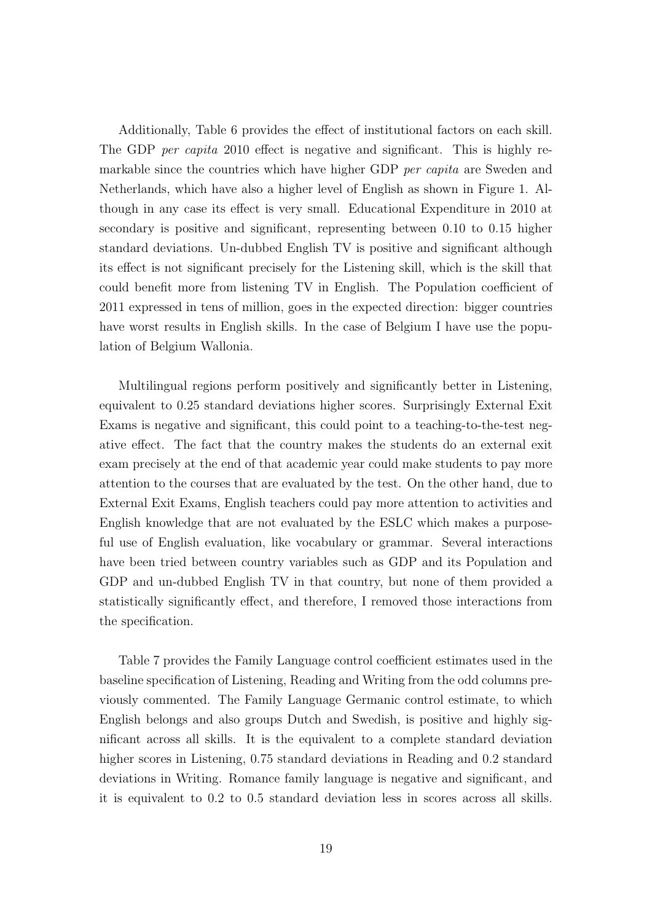Additionally, Table 6 provides the effect of institutional factors on each skill. The GDP *per capita* 2010 effect is negative and significant. This is highly remarkable since the countries which have higher GDP *per capita* are Sweden and Netherlands, which have also a higher level of English as shown in Figure 1. Although in any case its effect is very small. Educational Expenditure in 2010 at secondary is positive and significant, representing between 0.10 to 0.15 higher standard deviations. Un-dubbed English TV is positive and significant although its effect is not significant precisely for the Listening skill, which is the skill that could benefit more from listening TV in English. The Population coefficient of 2011 expressed in tens of million, goes in the expected direction: bigger countries have worst results in English skills. In the case of Belgium I have use the population of Belgium Wallonia.

Multilingual regions perform positively and significantly better in Listening, equivalent to 0.25 standard deviations higher scores. Surprisingly External Exit Exams is negative and significant, this could point to a teaching-to-the-test negative effect. The fact that the country makes the students do an external exit exam precisely at the end of that academic year could make students to pay more attention to the courses that are evaluated by the test. On the other hand, due to External Exit Exams, English teachers could pay more attention to activities and English knowledge that are not evaluated by the ESLC which makes a purposeful use of English evaluation, like vocabulary or grammar. Several interactions have been tried between country variables such as GDP and its Population and GDP and un-dubbed English TV in that country, but none of them provided a statistically significantly effect, and therefore, I removed those interactions from the specification.

Table 7 provides the Family Language control coefficient estimates used in the baseline specification of Listening, Reading and Writing from the odd columns previously commented. The Family Language Germanic control estimate, to which English belongs and also groups Dutch and Swedish, is positive and highly significant across all skills. It is the equivalent to a complete standard deviation higher scores in Listening, 0.75 standard deviations in Reading and 0.2 standard deviations in Writing. Romance family language is negative and significant, and it is equivalent to 0.2 to 0.5 standard deviation less in scores across all skills.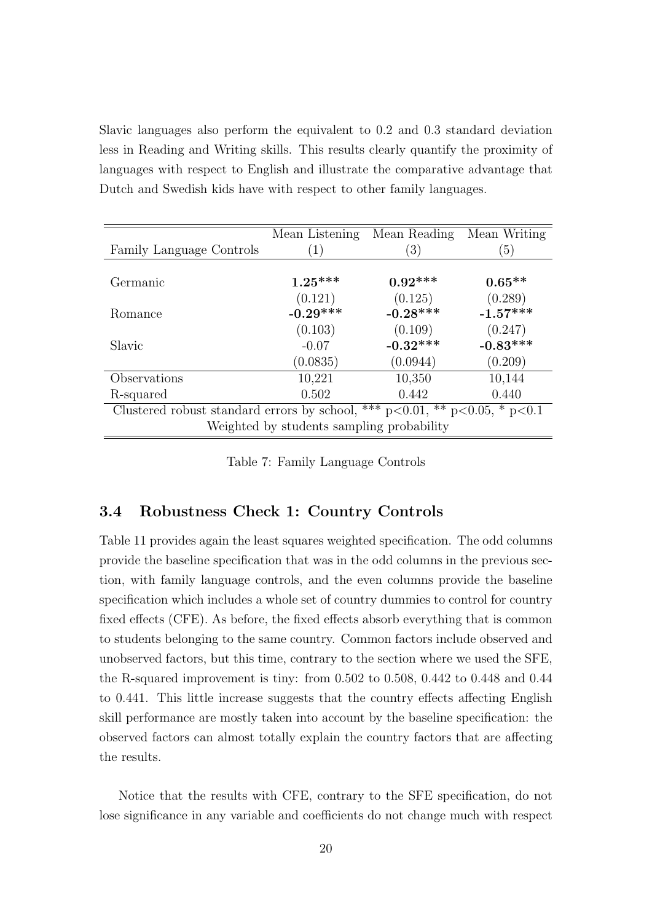Slavic languages also perform the equivalent to 0.2 and 0.3 standard deviation less in Reading and Writing skills. This results clearly quantify the proximity of languages with respect to English and illustrate the comparative advantage that Dutch and Swedish kids have with respect to other family languages.

|                          | Mean Listening                                                                     | Mean Reading     | Mean Writing |  |  |  |  |  |  |
|--------------------------|------------------------------------------------------------------------------------|------------------|--------------|--|--|--|--|--|--|
| Family Language Controls | (1)                                                                                | $\left(3\right)$ | (5)          |  |  |  |  |  |  |
|                          |                                                                                    |                  |              |  |  |  |  |  |  |
| Germanic                 | $1.25***$                                                                          | $0.92***$        | $0.65**$     |  |  |  |  |  |  |
|                          | (0.121)                                                                            | (0.125)          | (0.289)      |  |  |  |  |  |  |
| Romance                  | $-0.29***$                                                                         | $-0.28***$       | $-1.57***$   |  |  |  |  |  |  |
|                          | (0.103)                                                                            | (0.109)          | (0.247)      |  |  |  |  |  |  |
| Slavic                   | $-0.07$                                                                            | $-0.32***$       | $-0.83***$   |  |  |  |  |  |  |
|                          | (0.0835)                                                                           | (0.0944)         | (0.209)      |  |  |  |  |  |  |
| Observations             | 10,221                                                                             | 10,350           | 10,144       |  |  |  |  |  |  |
| R-squared                | 0.502                                                                              | 0.442            | 0.440        |  |  |  |  |  |  |
|                          | Clustered robust standard errors by school, *** $p<0.01$ , ** $p<0.05$ , * $p<0.1$ |                  |              |  |  |  |  |  |  |
|                          | Weighted by students sampling probability                                          |                  |              |  |  |  |  |  |  |

Table 7: Family Language Controls

#### 3.4 Robustness Check 1: Country Controls

Table 11 provides again the least squares weighted specification. The odd columns provide the baseline specification that was in the odd columns in the previous section, with family language controls, and the even columns provide the baseline specification which includes a whole set of country dummies to control for country fixed effects (CFE). As before, the fixed effects absorb everything that is common to students belonging to the same country. Common factors include observed and unobserved factors, but this time, contrary to the section where we used the SFE, the R-squared improvement is tiny: from 0.502 to 0.508, 0.442 to 0.448 and 0.44 to 0.441. This little increase suggests that the country effects affecting English skill performance are mostly taken into account by the baseline specification: the observed factors can almost totally explain the country factors that are affecting the results.

Notice that the results with CFE, contrary to the SFE specification, do not lose significance in any variable and coefficients do not change much with respect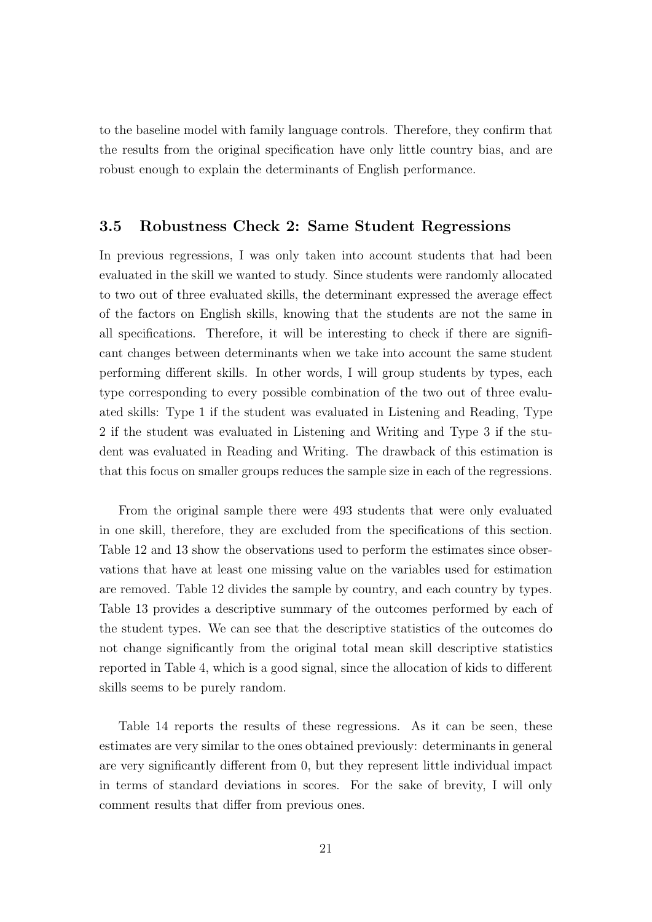to the baseline model with family language controls. Therefore, they confirm that the results from the original specification have only little country bias, and are robust enough to explain the determinants of English performance.

#### 3.5 Robustness Check 2: Same Student Regressions

In previous regressions, I was only taken into account students that had been evaluated in the skill we wanted to study. Since students were randomly allocated to two out of three evaluated skills, the determinant expressed the average effect of the factors on English skills, knowing that the students are not the same in all specifications. Therefore, it will be interesting to check if there are significant changes between determinants when we take into account the same student performing different skills. In other words, I will group students by types, each type corresponding to every possible combination of the two out of three evaluated skills: Type 1 if the student was evaluated in Listening and Reading, Type 2 if the student was evaluated in Listening and Writing and Type 3 if the student was evaluated in Reading and Writing. The drawback of this estimation is that this focus on smaller groups reduces the sample size in each of the regressions.

From the original sample there were 493 students that were only evaluated in one skill, therefore, they are excluded from the specifications of this section. Table 12 and 13 show the observations used to perform the estimates since observations that have at least one missing value on the variables used for estimation are removed. Table 12 divides the sample by country, and each country by types. Table 13 provides a descriptive summary of the outcomes performed by each of the student types. We can see that the descriptive statistics of the outcomes do not change significantly from the original total mean skill descriptive statistics reported in Table 4, which is a good signal, since the allocation of kids to different skills seems to be purely random.

Table 14 reports the results of these regressions. As it can be seen, these estimates are very similar to the ones obtained previously: determinants in general are very significantly different from 0, but they represent little individual impact in terms of standard deviations in scores. For the sake of brevity, I will only comment results that differ from previous ones.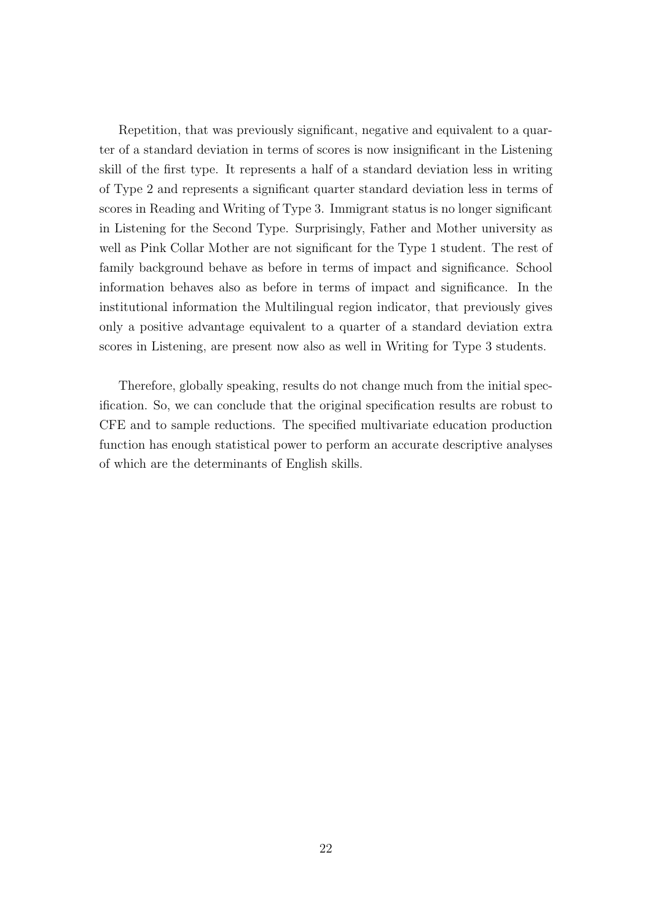Repetition, that was previously significant, negative and equivalent to a quarter of a standard deviation in terms of scores is now insignificant in the Listening skill of the first type. It represents a half of a standard deviation less in writing of Type 2 and represents a significant quarter standard deviation less in terms of scores in Reading and Writing of Type 3. Immigrant status is no longer significant in Listening for the Second Type. Surprisingly, Father and Mother university as well as Pink Collar Mother are not significant for the Type 1 student. The rest of family background behave as before in terms of impact and significance. School information behaves also as before in terms of impact and significance. In the institutional information the Multilingual region indicator, that previously gives only a positive advantage equivalent to a quarter of a standard deviation extra scores in Listening, are present now also as well in Writing for Type 3 students.

Therefore, globally speaking, results do not change much from the initial specification. So, we can conclude that the original specification results are robust to CFE and to sample reductions. The specified multivariate education production function has enough statistical power to perform an accurate descriptive analyses of which are the determinants of English skills.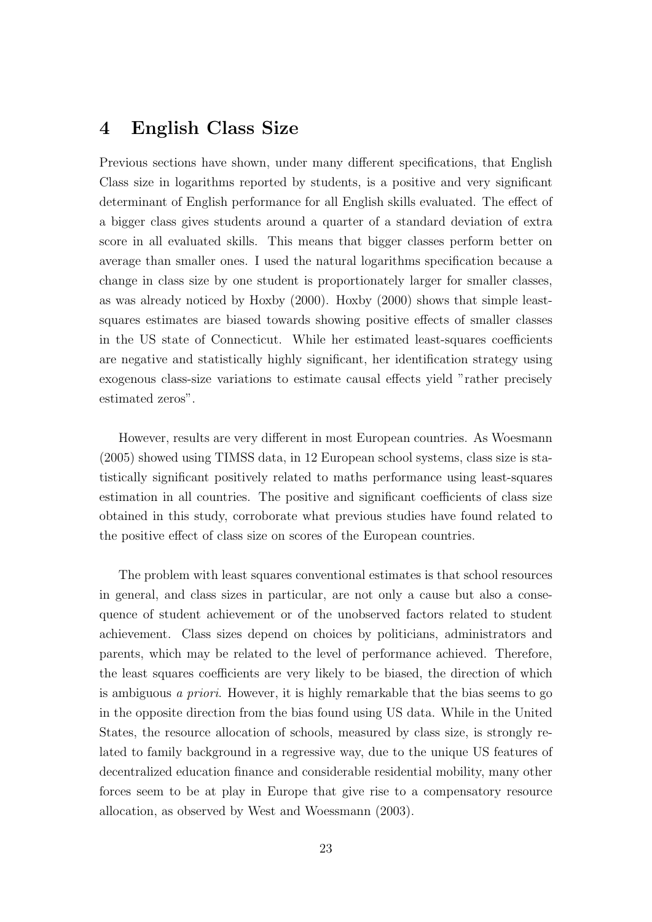## 4 English Class Size

Previous sections have shown, under many different specifications, that English Class size in logarithms reported by students, is a positive and very significant determinant of English performance for all English skills evaluated. The effect of a bigger class gives students around a quarter of a standard deviation of extra score in all evaluated skills. This means that bigger classes perform better on average than smaller ones. I used the natural logarithms specification because a change in class size by one student is proportionately larger for smaller classes, as was already noticed by Hoxby (2000). Hoxby (2000) shows that simple leastsquares estimates are biased towards showing positive effects of smaller classes in the US state of Connecticut. While her estimated least-squares coefficients are negative and statistically highly significant, her identification strategy using exogenous class-size variations to estimate causal effects yield "rather precisely estimated zeros".

However, results are very different in most European countries. As Woesmann (2005) showed using TIMSS data, in 12 European school systems, class size is statistically significant positively related to maths performance using least-squares estimation in all countries. The positive and significant coefficients of class size obtained in this study, corroborate what previous studies have found related to the positive effect of class size on scores of the European countries.

The problem with least squares conventional estimates is that school resources in general, and class sizes in particular, are not only a cause but also a consequence of student achievement or of the unobserved factors related to student achievement. Class sizes depend on choices by politicians, administrators and parents, which may be related to the level of performance achieved. Therefore, the least squares coefficients are very likely to be biased, the direction of which is ambiguous a priori. However, it is highly remarkable that the bias seems to go in the opposite direction from the bias found using US data. While in the United States, the resource allocation of schools, measured by class size, is strongly related to family background in a regressive way, due to the unique US features of decentralized education finance and considerable residential mobility, many other forces seem to be at play in Europe that give rise to a compensatory resource allocation, as observed by West and Woessmann (2003).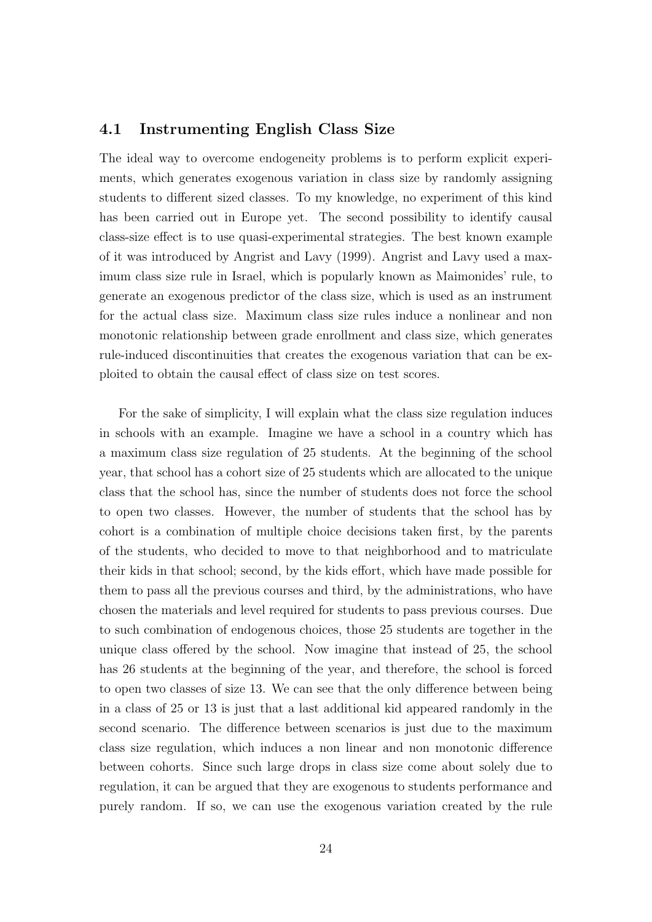#### 4.1 Instrumenting English Class Size

The ideal way to overcome endogeneity problems is to perform explicit experiments, which generates exogenous variation in class size by randomly assigning students to different sized classes. To my knowledge, no experiment of this kind has been carried out in Europe yet. The second possibility to identify causal class-size effect is to use quasi-experimental strategies. The best known example of it was introduced by Angrist and Lavy (1999). Angrist and Lavy used a maximum class size rule in Israel, which is popularly known as Maimonides' rule, to generate an exogenous predictor of the class size, which is used as an instrument for the actual class size. Maximum class size rules induce a nonlinear and non monotonic relationship between grade enrollment and class size, which generates rule-induced discontinuities that creates the exogenous variation that can be exploited to obtain the causal effect of class size on test scores.

For the sake of simplicity, I will explain what the class size regulation induces in schools with an example. Imagine we have a school in a country which has a maximum class size regulation of 25 students. At the beginning of the school year, that school has a cohort size of 25 students which are allocated to the unique class that the school has, since the number of students does not force the school to open two classes. However, the number of students that the school has by cohort is a combination of multiple choice decisions taken first, by the parents of the students, who decided to move to that neighborhood and to matriculate their kids in that school; second, by the kids effort, which have made possible for them to pass all the previous courses and third, by the administrations, who have chosen the materials and level required for students to pass previous courses. Due to such combination of endogenous choices, those 25 students are together in the unique class offered by the school. Now imagine that instead of 25, the school has 26 students at the beginning of the year, and therefore, the school is forced to open two classes of size 13. We can see that the only difference between being in a class of 25 or 13 is just that a last additional kid appeared randomly in the second scenario. The difference between scenarios is just due to the maximum class size regulation, which induces a non linear and non monotonic difference between cohorts. Since such large drops in class size come about solely due to regulation, it can be argued that they are exogenous to students performance and purely random. If so, we can use the exogenous variation created by the rule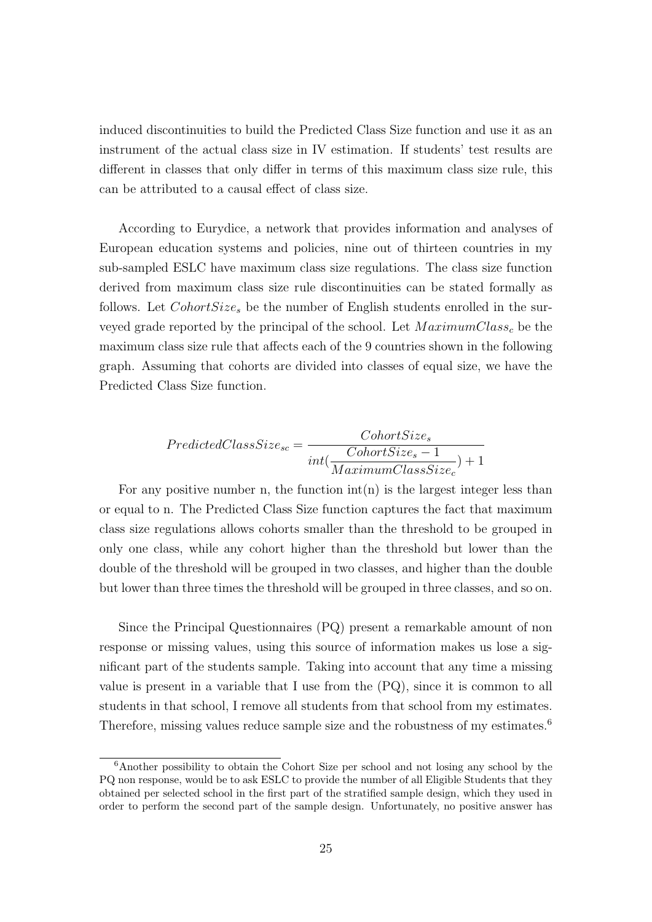induced discontinuities to build the Predicted Class Size function and use it as an instrument of the actual class size in IV estimation. If students' test results are different in classes that only differ in terms of this maximum class size rule, this can be attributed to a causal effect of class size.

According to Eurydice, a network that provides information and analyses of European education systems and policies, nine out of thirteen countries in my sub-sampled ESLC have maximum class size regulations. The class size function derived from maximum class size rule discontinuities can be stated formally as follows. Let  $ColorSize_s$  be the number of English students enrolled in the surveyed grade reported by the principal of the school. Let  $MaximumClass<sub>c</sub>$  be the maximum class size rule that affects each of the 9 countries shown in the following graph. Assuming that cohorts are divided into classes of equal size, we have the Predicted Class Size function.

$$
PredictedClassSize_{sc} = \frac{CohortSize_s}{int(\frac{CohortSize_s - 1}{MaximumClassSize_c}) + 1}
$$

For any positive number n, the function  $\text{int}(n)$  is the largest integer less than or equal to n. The Predicted Class Size function captures the fact that maximum class size regulations allows cohorts smaller than the threshold to be grouped in only one class, while any cohort higher than the threshold but lower than the double of the threshold will be grouped in two classes, and higher than the double but lower than three times the threshold will be grouped in three classes, and so on.

Since the Principal Questionnaires (PQ) present a remarkable amount of non response or missing values, using this source of information makes us lose a significant part of the students sample. Taking into account that any time a missing value is present in a variable that I use from the (PQ), since it is common to all students in that school, I remove all students from that school from my estimates. Therefore, missing values reduce sample size and the robustness of my estimates.<sup>6</sup>

<sup>6</sup>Another possibility to obtain the Cohort Size per school and not losing any school by the PQ non response, would be to ask ESLC to provide the number of all Eligible Students that they obtained per selected school in the first part of the stratified sample design, which they used in order to perform the second part of the sample design. Unfortunately, no positive answer has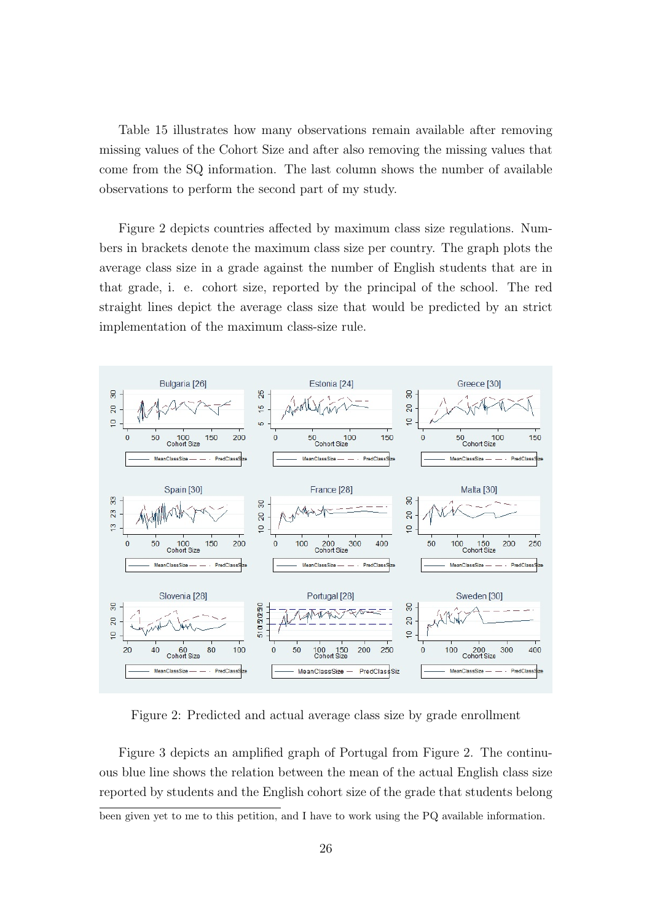Table 15 illustrates how many observations remain available after removing missing values of the Cohort Size and after also removing the missing values that come from the SQ information. The last column shows the number of available observations to perform the second part of my study.

Figure 2 depicts countries affected by maximum class size regulations. Numbers in brackets denote the maximum class size per country. The graph plots the average class size in a grade against the number of English students that are in that grade, i. e. cohort size, reported by the principal of the school. The red straight lines depict the average class size that would be predicted by an strict implementation of the maximum class-size rule.



Figure 2: Predicted and actual average class size by grade enrollment

Figure 3 depicts an amplified graph of Portugal from Figure 2. The continuous blue line shows the relation between the mean of the actual English class size reported by students and the English cohort size of the grade that students belong

been given yet to me to this petition, and I have to work using the PQ available information.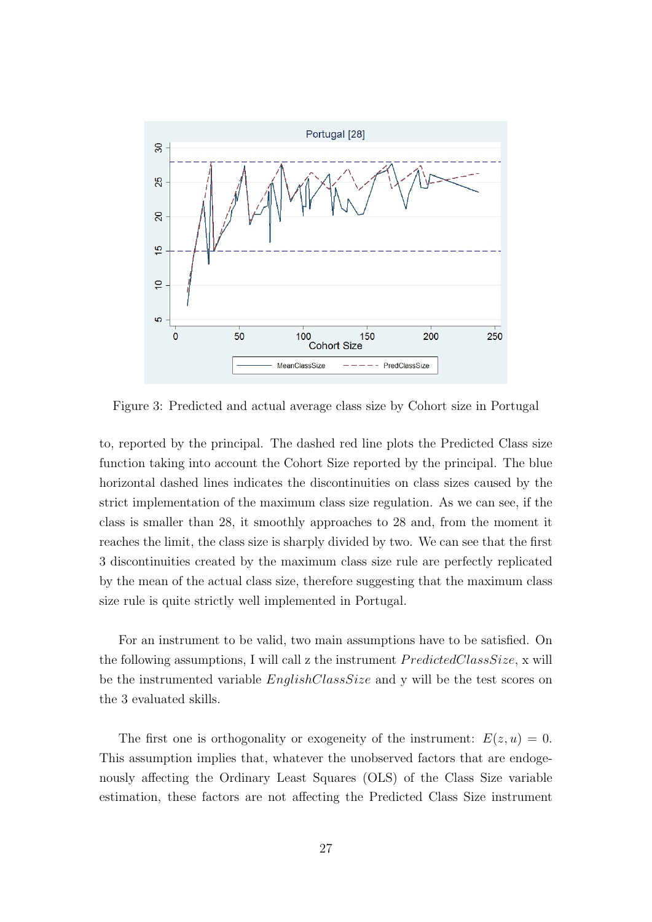

Figure 3: Predicted and actual average class size by Cohort size in Portugal

to, reported by the principal. The dashed red line plots the Predicted Class size function taking into account the Cohort Size reported by the principal. The blue horizontal dashed lines indicates the discontinuities on class sizes caused by the strict implementation of the maximum class size regulation. As we can see, if the class is smaller than 28, it smoothly approaches to 28 and, from the moment it reaches the limit, the class size is sharply divided by two. We can see that the first 3 discontinuities created by the maximum class size rule are perfectly replicated by the mean of the actual class size, therefore suggesting that the maximum class size rule is quite strictly well implemented in Portugal.

For an instrument to be valid, two main assumptions have to be satisfied. On the following assumptions, I will call z the instrument  $PredictedClassSize$ , x will be the instrumented variable *EnglishClassSize* and y will be the test scores on the 3 evaluated skills.

The first one is orthogonality or exogeneity of the instrument:  $E(z, u) = 0$ . This assumption implies that, whatever the unobserved factors that are endogenously affecting the Ordinary Least Squares (OLS) of the Class Size variable estimation, these factors are not affecting the Predicted Class Size instrument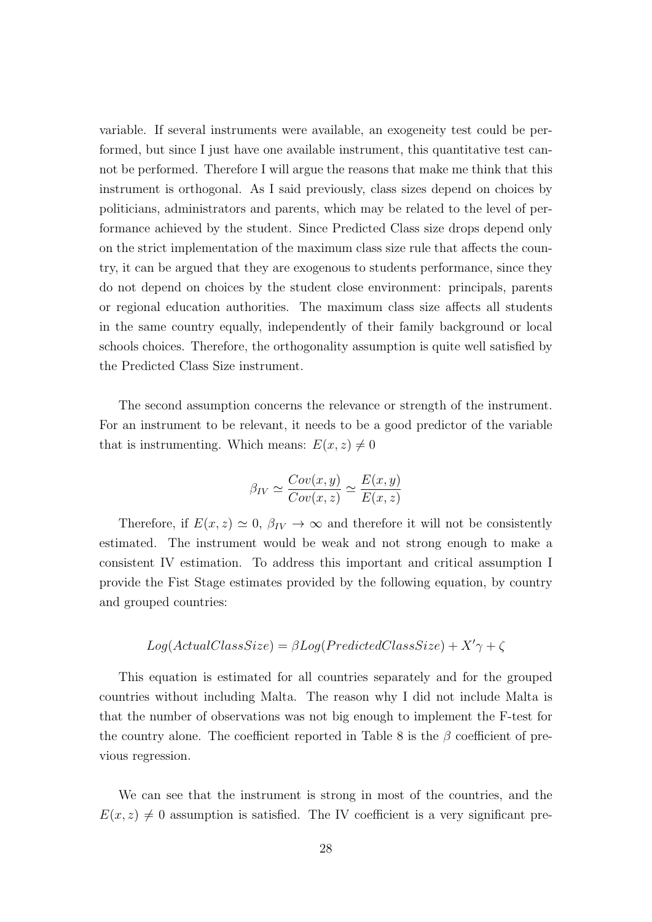variable. If several instruments were available, an exogeneity test could be performed, but since I just have one available instrument, this quantitative test cannot be performed. Therefore I will argue the reasons that make me think that this instrument is orthogonal. As I said previously, class sizes depend on choices by politicians, administrators and parents, which may be related to the level of performance achieved by the student. Since Predicted Class size drops depend only on the strict implementation of the maximum class size rule that affects the country, it can be argued that they are exogenous to students performance, since they do not depend on choices by the student close environment: principals, parents or regional education authorities. The maximum class size affects all students in the same country equally, independently of their family background or local schools choices. Therefore, the orthogonality assumption is quite well satisfied by the Predicted Class Size instrument.

The second assumption concerns the relevance or strength of the instrument. For an instrument to be relevant, it needs to be a good predictor of the variable that is instrumenting. Which means:  $E(x, z) \neq 0$ 

$$
\beta_{IV} \simeq \frac{Cov(x, y)}{Cov(x, z)} \simeq \frac{E(x, y)}{E(x, z)}
$$

Therefore, if  $E(x, z) \simeq 0$ ,  $\beta_{IV} \rightarrow \infty$  and therefore it will not be consistently estimated. The instrument would be weak and not strong enough to make a consistent IV estimation. To address this important and critical assumption I provide the Fist Stage estimates provided by the following equation, by country and grouped countries:

$$
Log(ActualClassSize) = \beta Log(PredictedClassSize) + X'\gamma + \zeta
$$

This equation is estimated for all countries separately and for the grouped countries without including Malta. The reason why I did not include Malta is that the number of observations was not big enough to implement the F-test for the country alone. The coefficient reported in Table 8 is the  $\beta$  coefficient of previous regression.

We can see that the instrument is strong in most of the countries, and the  $E(x, z) \neq 0$  assumption is satisfied. The IV coefficient is a very significant pre-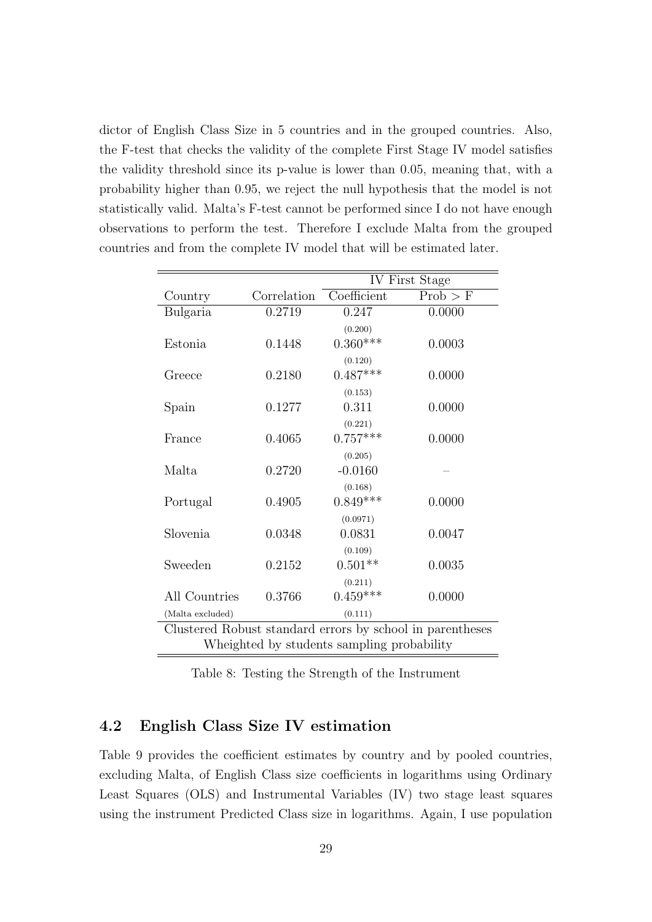dictor of English Class Size in 5 countries and in the grouped countries. Also, the F-test that checks the validity of the complete First Stage IV model satisfies the validity threshold since its p-value is lower than 0.05, meaning that, with a probability higher than 0.95, we reject the null hypothesis that the model is not statistically valid. Malta's F-test cannot be performed since I do not have enough observations to perform the test. Therefore I exclude Malta from the grouped countries and from the complete IV model that will be estimated later.

|                  |             |                                            | IV First Stage                                            |
|------------------|-------------|--------------------------------------------|-----------------------------------------------------------|
| Country          | Correlation | Coefficient                                | Prob > F                                                  |
| Bulgaria         | 0.2719      | 0.247                                      | 0.0000                                                    |
|                  |             | (0.200)                                    |                                                           |
| Estonia          | 0.1448      | $0.360***$                                 | 0.0003                                                    |
|                  |             | (0.120)                                    |                                                           |
| Greece           | 0.2180      | $0.487***$                                 | 0.0000                                                    |
| Spain            | 0.1277      | (0.153)<br>0.311                           | 0.0000                                                    |
|                  |             | (0.221)                                    |                                                           |
| France           | 0.4065      | $0.757***$                                 | 0.0000                                                    |
|                  |             | (0.205)                                    |                                                           |
| Malta            | 0.2720      | $-0.0160$                                  |                                                           |
|                  |             | (0.168)                                    |                                                           |
| Portugal         | 0.4905      | $0.849***$                                 | 0.0000                                                    |
|                  |             | (0.0971)                                   |                                                           |
| Slovenia         | 0.0348      | 0.0831                                     | 0.0047                                                    |
| Sweeden          |             | (0.109)<br>$0.501**$                       |                                                           |
|                  | 0.2152      |                                            | 0.0035                                                    |
| All Countries    | 0.3766      | (0.211)<br>$0.459***$                      | 0.0000                                                    |
| (Malta excluded) |             | (0.111)                                    |                                                           |
|                  |             |                                            | Clustered Robust standard errors by school in parentheses |
|                  |             | Wheighted by students sampling probability |                                                           |

Table 8: Testing the Strength of the Instrument

#### 4.2 English Class Size IV estimation

Table 9 provides the coefficient estimates by country and by pooled countries, excluding Malta, of English Class size coefficients in logarithms using Ordinary Least Squares (OLS) and Instrumental Variables (IV) two stage least squares using the instrument Predicted Class size in logarithms. Again, I use population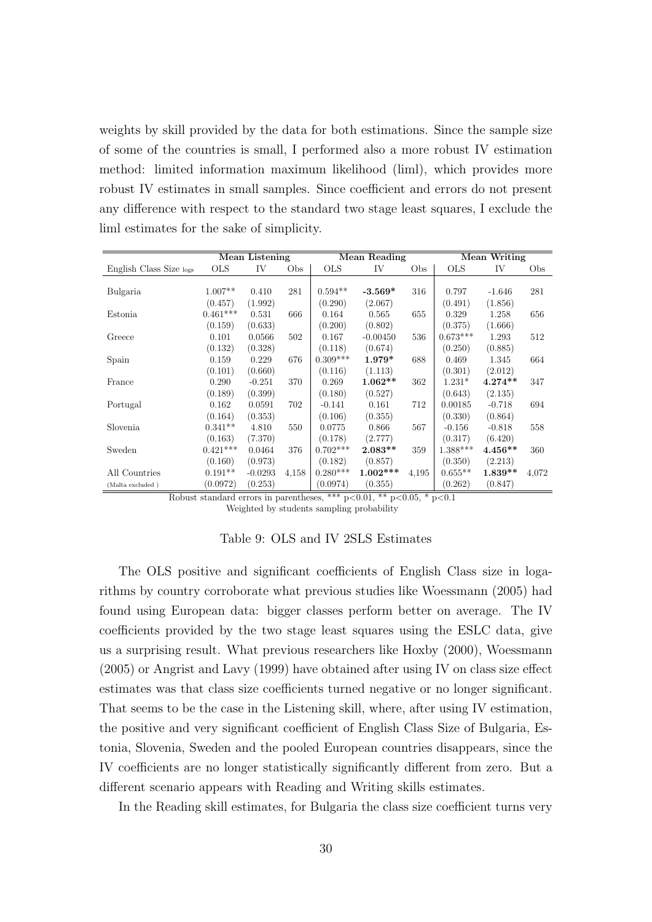weights by skill provided by the data for both estimations. Since the sample size of some of the countries is small, I performed also a more robust IV estimation method: limited information maximum likelihood (liml), which provides more robust IV estimates in small samples. Since coefficient and errors do not present any difference with respect to the standard two stage least squares, I exclude the liml estimates for the sake of simplicity.

|                         |            | Mean Listening |       |            | Mean Reading |       |            | Mean Writing |       |
|-------------------------|------------|----------------|-------|------------|--------------|-------|------------|--------------|-------|
| English Class Size logs | <b>OLS</b> | IV             | Obs   | <b>OLS</b> | IV           | Obs   | <b>OLS</b> | IV           | Obs   |
|                         |            |                |       |            |              |       |            |              |       |
| Bulgaria                | $1.007**$  | 0.410          | 281   | $0.594**$  | $-3.569*$    | 316   | 0.797      | $-1.646$     | 281   |
|                         | (0.457)    | (1.992)        |       | (0.290)    | (2.067)      |       | (0.491)    | (1.856)      |       |
| Estonia                 | $0.461***$ | 0.531          | 666   | 0.164      | 0.565        | 655   | 0.329      | 1.258        | 656   |
|                         | (0.159)    | (0.633)        |       | (0.200)    | (0.802)      |       | (0.375)    | (1.666)      |       |
| Greece                  | 0.101      | 0.0566         | 502   | 0.167      | $-0.00450$   | 536   | $0.673***$ | 1.293        | 512   |
|                         | (0.132)    | (0.328)        |       | (0.118)    | (0.674)      |       | (0.250)    | (0.885)      |       |
| Spain                   | 0.159      | 0.229          | 676   | $0.309***$ | 1.979*       | 688   | 0.469      | 1.345        | 664   |
|                         | (0.101)    | (0.660)        |       | (0.116)    | (1.113)      |       | (0.301)    | (2.012)      |       |
| France                  | 0.290      | $-0.251$       | 370   | 0.269      | $1.062**$    | 362   | $1.231*$   | $4.274**$    | 347   |
|                         | (0.189)    | (0.399)        |       | (0.180)    | (0.527)      |       | (0.643)    | (2.135)      |       |
| Portugal                | 0.162      | 0.0591         | 702   | $-0.141$   | 0.161        | 712   | 0.00185    | $-0.718$     | 694   |
|                         | (0.164)    | (0.353)        |       | (0.106)    | (0.355)      |       | (0.330)    | (0.864)      |       |
| Slovenia                | $0.341**$  | 4.810          | 550   | 0.0775     | 0.866        | 567   | $-0.156$   | $-0.818$     | 558   |
|                         | (0.163)    | (7.370)        |       | (0.178)    | (2.777)      |       | (0.317)    | (6.420)      |       |
| Sweden                  | $0.421***$ | 0.0464         | 376   | $0.702***$ | $2.083**$    | 359   | $1.388***$ | $4.456**$    | 360   |
|                         | (0.160)    | (0.973)        |       | (0.182)    | (0.857)      |       | (0.350)    | (2.213)      |       |
| All Countries           | $0.191**$  | $-0.0293$      | 4,158 | $0.280***$ | $1.002***$   | 4,195 | $0.655**$  | $1.839**$    | 4,072 |
| (Malta excluded)        | (0.0972)   | (0.253)        |       | (0.0974)   | (0.355)      |       | (0.262)    | (0.847)      |       |

Robust standard errors in parentheses, \*\*\*  $p<0.01$ , \*\*  $p<0.05$ , \*  $p<0.1$ Weighted by students sampling probability

#### Table 9: OLS and IV 2SLS Estimates

The OLS positive and significant coefficients of English Class size in logarithms by country corroborate what previous studies like Woessmann (2005) had found using European data: bigger classes perform better on average. The IV coefficients provided by the two stage least squares using the ESLC data, give us a surprising result. What previous researchers like Hoxby (2000), Woessmann (2005) or Angrist and Lavy (1999) have obtained after using IV on class size effect estimates was that class size coefficients turned negative or no longer significant. That seems to be the case in the Listening skill, where, after using IV estimation, the positive and very significant coefficient of English Class Size of Bulgaria, Estonia, Slovenia, Sweden and the pooled European countries disappears, since the IV coefficients are no longer statistically significantly different from zero. But a different scenario appears with Reading and Writing skills estimates.

In the Reading skill estimates, for Bulgaria the class size coefficient turns very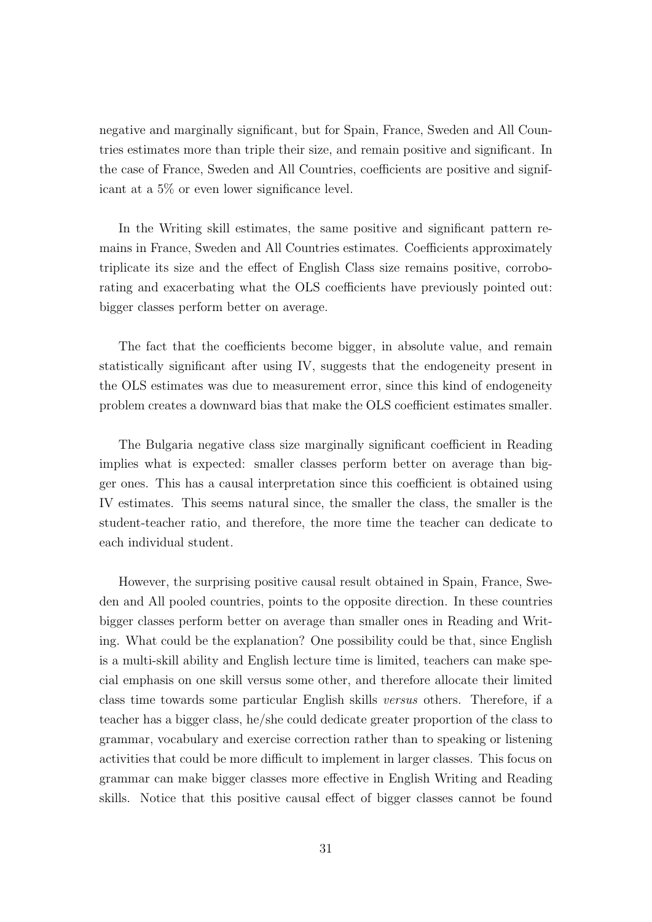negative and marginally significant, but for Spain, France, Sweden and All Countries estimates more than triple their size, and remain positive and significant. In the case of France, Sweden and All Countries, coefficients are positive and significant at a 5% or even lower significance level.

In the Writing skill estimates, the same positive and significant pattern remains in France, Sweden and All Countries estimates. Coefficients approximately triplicate its size and the effect of English Class size remains positive, corroborating and exacerbating what the OLS coefficients have previously pointed out: bigger classes perform better on average.

The fact that the coefficients become bigger, in absolute value, and remain statistically significant after using IV, suggests that the endogeneity present in the OLS estimates was due to measurement error, since this kind of endogeneity problem creates a downward bias that make the OLS coefficient estimates smaller.

The Bulgaria negative class size marginally significant coefficient in Reading implies what is expected: smaller classes perform better on average than bigger ones. This has a causal interpretation since this coefficient is obtained using IV estimates. This seems natural since, the smaller the class, the smaller is the student-teacher ratio, and therefore, the more time the teacher can dedicate to each individual student.

However, the surprising positive causal result obtained in Spain, France, Sweden and All pooled countries, points to the opposite direction. In these countries bigger classes perform better on average than smaller ones in Reading and Writing. What could be the explanation? One possibility could be that, since English is a multi-skill ability and English lecture time is limited, teachers can make special emphasis on one skill versus some other, and therefore allocate their limited class time towards some particular English skills versus others. Therefore, if a teacher has a bigger class, he/she could dedicate greater proportion of the class to grammar, vocabulary and exercise correction rather than to speaking or listening activities that could be more difficult to implement in larger classes. This focus on grammar can make bigger classes more effective in English Writing and Reading skills. Notice that this positive causal effect of bigger classes cannot be found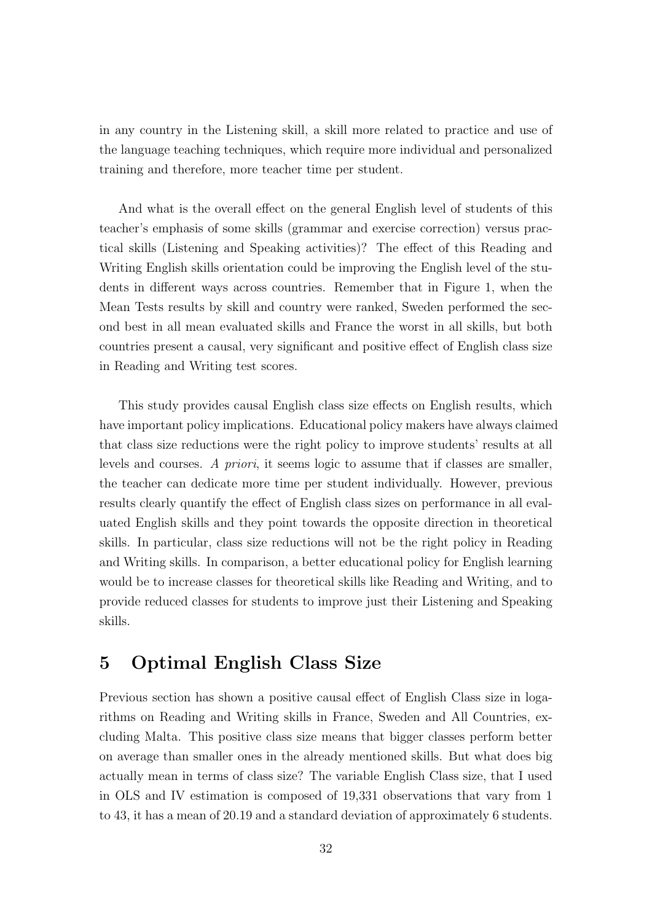in any country in the Listening skill, a skill more related to practice and use of the language teaching techniques, which require more individual and personalized training and therefore, more teacher time per student.

And what is the overall effect on the general English level of students of this teacher's emphasis of some skills (grammar and exercise correction) versus practical skills (Listening and Speaking activities)? The effect of this Reading and Writing English skills orientation could be improving the English level of the students in different ways across countries. Remember that in Figure 1, when the Mean Tests results by skill and country were ranked, Sweden performed the second best in all mean evaluated skills and France the worst in all skills, but both countries present a causal, very significant and positive effect of English class size in Reading and Writing test scores.

This study provides causal English class size effects on English results, which have important policy implications. Educational policy makers have always claimed that class size reductions were the right policy to improve students' results at all levels and courses. A priori, it seems logic to assume that if classes are smaller, the teacher can dedicate more time per student individually. However, previous results clearly quantify the effect of English class sizes on performance in all evaluated English skills and they point towards the opposite direction in theoretical skills. In particular, class size reductions will not be the right policy in Reading and Writing skills. In comparison, a better educational policy for English learning would be to increase classes for theoretical skills like Reading and Writing, and to provide reduced classes for students to improve just their Listening and Speaking skills.

## 5 Optimal English Class Size

Previous section has shown a positive causal effect of English Class size in logarithms on Reading and Writing skills in France, Sweden and All Countries, excluding Malta. This positive class size means that bigger classes perform better on average than smaller ones in the already mentioned skills. But what does big actually mean in terms of class size? The variable English Class size, that I used in OLS and IV estimation is composed of 19,331 observations that vary from 1 to 43, it has a mean of 20.19 and a standard deviation of approximately 6 students.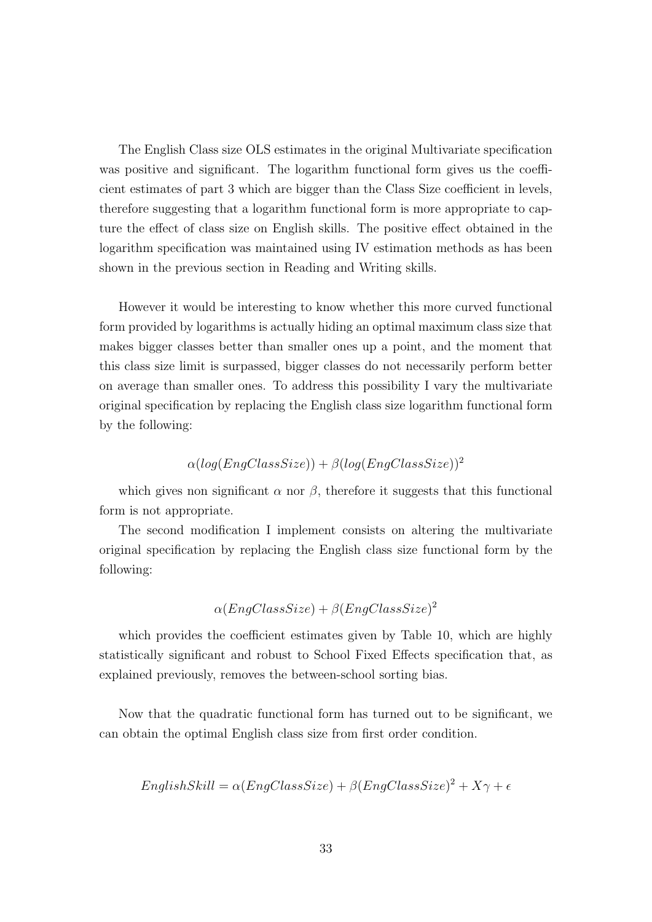The English Class size OLS estimates in the original Multivariate specification was positive and significant. The logarithm functional form gives us the coefficient estimates of part 3 which are bigger than the Class Size coefficient in levels, therefore suggesting that a logarithm functional form is more appropriate to capture the effect of class size on English skills. The positive effect obtained in the logarithm specification was maintained using IV estimation methods as has been shown in the previous section in Reading and Writing skills.

However it would be interesting to know whether this more curved functional form provided by logarithms is actually hiding an optimal maximum class size that makes bigger classes better than smaller ones up a point, and the moment that this class size limit is surpassed, bigger classes do not necessarily perform better on average than smaller ones. To address this possibility I vary the multivariate original specification by replacing the English class size logarithm functional form by the following:

### $\alpha(log(EnaClassSize)) + \beta(log(EnaClassSize))^2$

which gives non significant  $\alpha$  nor  $\beta$ , therefore it suggests that this functional form is not appropriate.

The second modification I implement consists on altering the multivariate original specification by replacing the English class size functional form by the following:

$$
\alpha(EngClassSize) + \beta(EngClassSize)^2
$$

which provides the coefficient estimates given by Table 10, which are highly statistically significant and robust to School Fixed Effects specification that, as explained previously, removes the between-school sorting bias.

Now that the quadratic functional form has turned out to be significant, we can obtain the optimal English class size from first order condition.

$$
English Skill = \alpha(EngClassSize) + \beta(EngClassSize)^2 + X\gamma + \epsilon
$$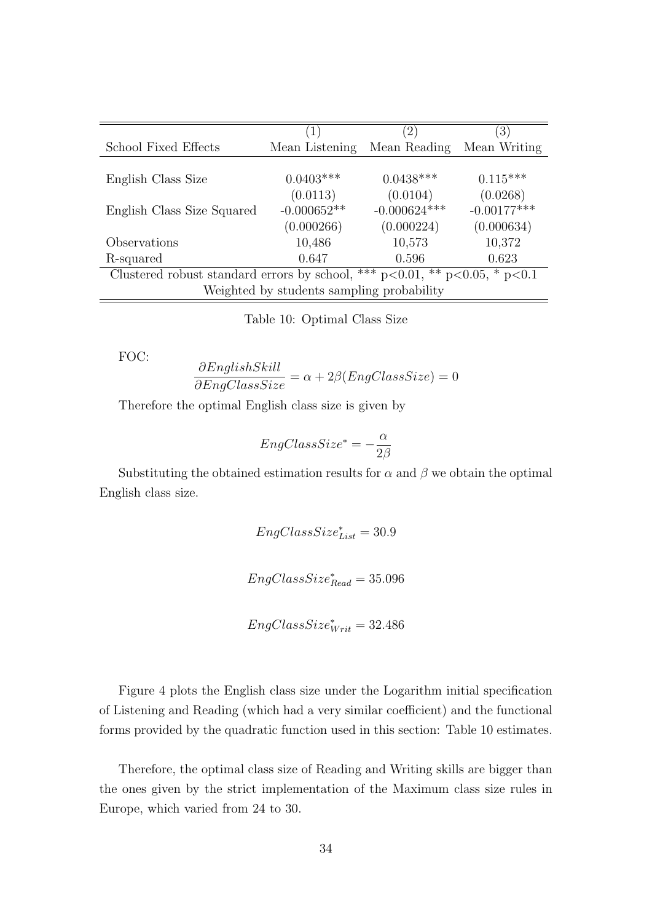|                                                                                    | $\left(1\right)$                          | $\left(2\right)$ | $\left(3\right)$ |
|------------------------------------------------------------------------------------|-------------------------------------------|------------------|------------------|
| School Fixed Effects                                                               | Mean Listening                            | Mean Reading     | Mean Writing     |
|                                                                                    |                                           |                  |                  |
| English Class Size                                                                 | $0.0403***$                               | $0.0438***$      | $0.115***$       |
|                                                                                    | (0.0113)                                  | (0.0104)         | (0.0268)         |
| English Class Size Squared                                                         | $-0.000652**$                             | $-0.000624***$   | $-0.00177***$    |
|                                                                                    | (0.000266)                                | (0.000224)       | (0.000634)       |
| Observations                                                                       | 10,486                                    | 10,573           | 10,372           |
| R-squared                                                                          | 0.647                                     | 0.596            | 0.623            |
| Clustered robust standard errors by school, *** $p<0.01$ , ** $p<0.05$ , * $p<0.1$ |                                           |                  |                  |
|                                                                                    | Weighted by students sampling probability |                  |                  |

Table 10: Optimal Class Size

FOC:

$$
\frac{\partial English Skill}{\partial EngClassSize} = \alpha + 2\beta(EngClassSize) = 0
$$

Therefore the optimal English class size is given by

$$
EngClassSize^* = -\frac{\alpha}{2\beta}
$$

Substituting the obtained estimation results for  $\alpha$  and  $\beta$  we obtain the optimal English class size.

> $EngClassSize_{List}^* = 30.9$  $EngClassSize_{Read}^* = 35.096$

 $EngClassSize^*_{Writ} = 32.486$ 

Figure 4 plots the English class size under the Logarithm initial specification of Listening and Reading (which had a very similar coefficient) and the functional forms provided by the quadratic function used in this section: Table 10 estimates.

Therefore, the optimal class size of Reading and Writing skills are bigger than the ones given by the strict implementation of the Maximum class size rules in Europe, which varied from 24 to 30.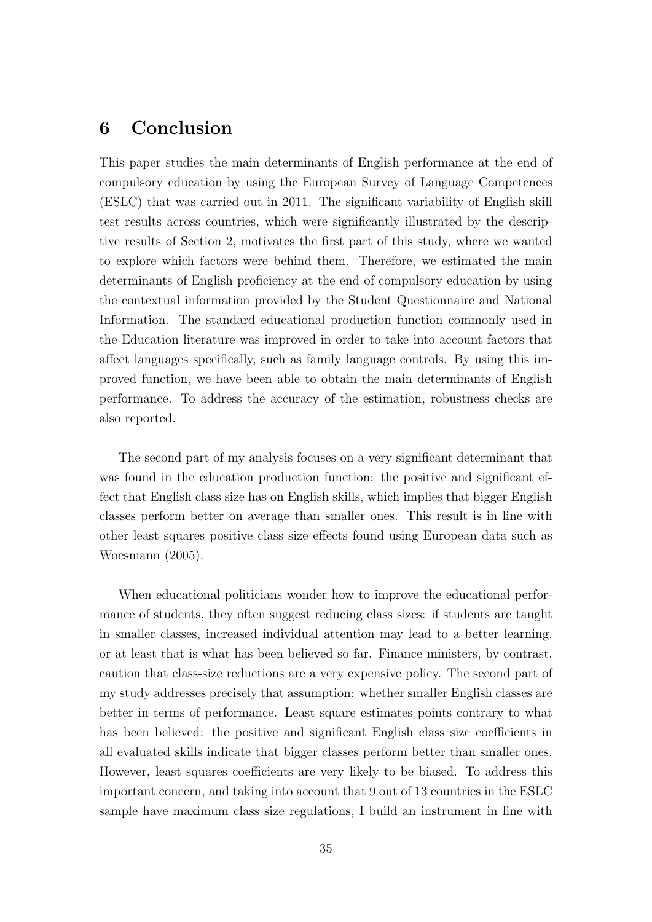# 6 Conclusion

This paper studies the main determinants of English performance at the end of compulsory education by using the European Survey of Language Competences (ESLC) that was carried out in 2011. The significant variability of English skill test results across countries, which were significantly illustrated by the descriptive results of Section 2, motivates the first part of this study, where we wanted to explore which factors were behind them. Therefore, we estimated the main determinants of English proficiency at the end of compulsory education by using the contextual information provided by the Student Questionnaire and National Information. The standard educational production function commonly used in the Education literature was improved in order to take into account factors that affect languages specifically, such as family language controls. By using this improved function, we have been able to obtain the main determinants of English performance. To address the accuracy of the estimation, robustness checks are also reported.

The second part of my analysis focuses on a very significant determinant that was found in the education production function: the positive and significant effect that English class size has on English skills, which implies that bigger English classes perform better on average than smaller ones. This result is in line with other least squares positive class size effects found using European data such as Woesmann (2005).

When educational politicians wonder how to improve the educational performance of students, they often suggest reducing class sizes: if students are taught in smaller classes, increased individual attention may lead to a better learning, or at least that is what has been believed so far. Finance ministers, by contrast, caution that class-size reductions are a very expensive policy. The second part of my study addresses precisely that assumption: whether smaller English classes are better in terms of performance. Least square estimates points contrary to what has been believed: the positive and significant English class size coefficients in all evaluated skills indicate that bigger classes perform better than smaller ones. However, least squares coefficients are very likely to be biased. To address this important concern, and taking into account that 9 out of 13 countries in the ESLC sample have maximum class size regulations, I build an instrument in line with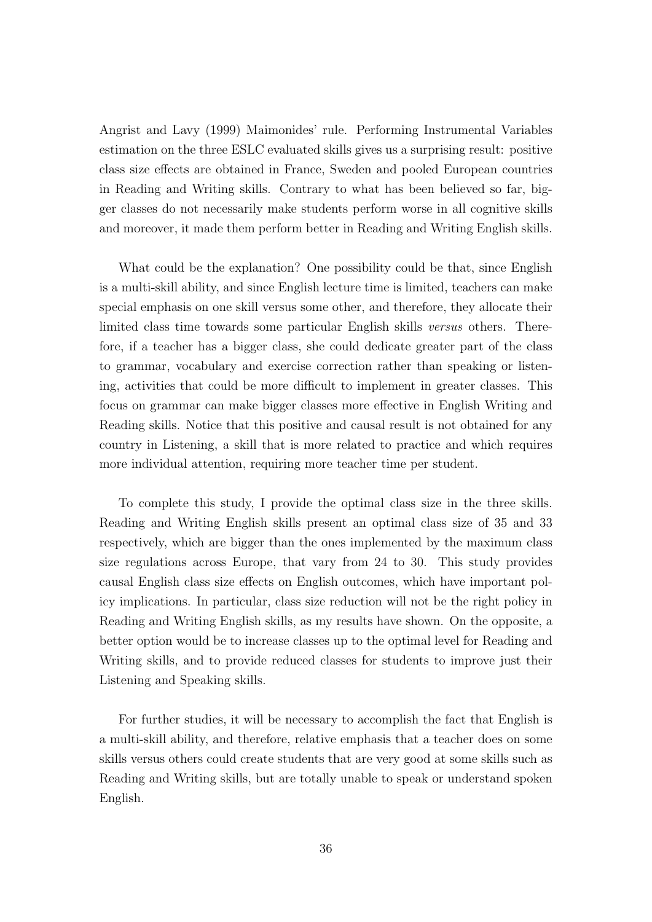Angrist and Lavy (1999) Maimonides' rule. Performing Instrumental Variables estimation on the three ESLC evaluated skills gives us a surprising result: positive class size effects are obtained in France, Sweden and pooled European countries in Reading and Writing skills. Contrary to what has been believed so far, bigger classes do not necessarily make students perform worse in all cognitive skills and moreover, it made them perform better in Reading and Writing English skills.

What could be the explanation? One possibility could be that, since English is a multi-skill ability, and since English lecture time is limited, teachers can make special emphasis on one skill versus some other, and therefore, they allocate their limited class time towards some particular English skills versus others. Therefore, if a teacher has a bigger class, she could dedicate greater part of the class to grammar, vocabulary and exercise correction rather than speaking or listening, activities that could be more difficult to implement in greater classes. This focus on grammar can make bigger classes more effective in English Writing and Reading skills. Notice that this positive and causal result is not obtained for any country in Listening, a skill that is more related to practice and which requires more individual attention, requiring more teacher time per student.

To complete this study, I provide the optimal class size in the three skills. Reading and Writing English skills present an optimal class size of 35 and 33 respectively, which are bigger than the ones implemented by the maximum class size regulations across Europe, that vary from 24 to 30. This study provides causal English class size effects on English outcomes, which have important policy implications. In particular, class size reduction will not be the right policy in Reading and Writing English skills, as my results have shown. On the opposite, a better option would be to increase classes up to the optimal level for Reading and Writing skills, and to provide reduced classes for students to improve just their Listening and Speaking skills.

For further studies, it will be necessary to accomplish the fact that English is a multi-skill ability, and therefore, relative emphasis that a teacher does on some skills versus others could create students that are very good at some skills such as Reading and Writing skills, but are totally unable to speak or understand spoken English.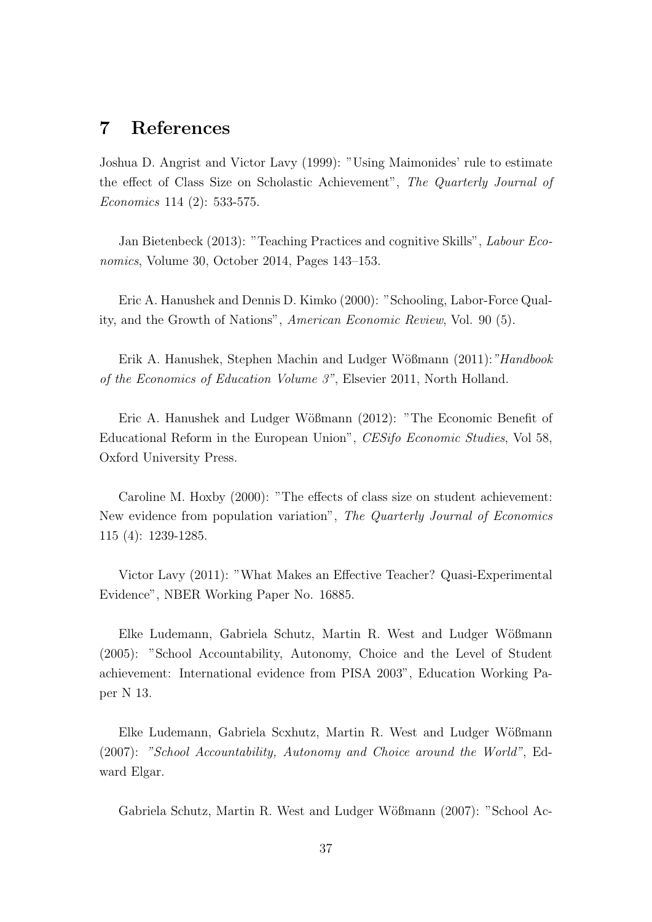# 7 References

Joshua D. Angrist and Victor Lavy (1999): "Using Maimonides' rule to estimate the effect of Class Size on Scholastic Achievement", The Quarterly Journal of Economics 114 (2): 533-575.

Jan Bietenbeck (2013): "Teaching Practices and cognitive Skills", Labour Economics, Volume 30, October 2014, Pages 143–153.

Eric A. Hanushek and Dennis D. Kimko (2000): "Schooling, Labor-Force Quality, and the Growth of Nations", American Economic Review, Vol. 90 (5).

Erik A. Hanushek, Stephen Machin and Ludger Wößmann (2011): "Handbook" of the Economics of Education Volume 3", Elsevier 2011, North Holland.

Eric A. Hanushek and Ludger Wößmann (2012): "The Economic Benefit of Educational Reform in the European Union", CESifo Economic Studies, Vol 58, Oxford University Press.

Caroline M. Hoxby (2000): "The effects of class size on student achievement: New evidence from population variation", The Quarterly Journal of Economics 115 (4): 1239-1285.

Victor Lavy (2011): "What Makes an Effective Teacher? Quasi-Experimental Evidence", NBER Working Paper No. 16885.

Elke Ludemann, Gabriela Schutz, Martin R. West and Ludger Wößmann (2005): "School Accountability, Autonomy, Choice and the Level of Student achievement: International evidence from PISA 2003", Education Working Paper N 13.

Elke Ludemann, Gabriela Scxhutz, Martin R. West and Ludger Wößmann (2007): "School Accountability, Autonomy and Choice around the World", Edward Elgar.

Gabriela Schutz, Martin R. West and Ludger Wößmann (2007): "School Ac-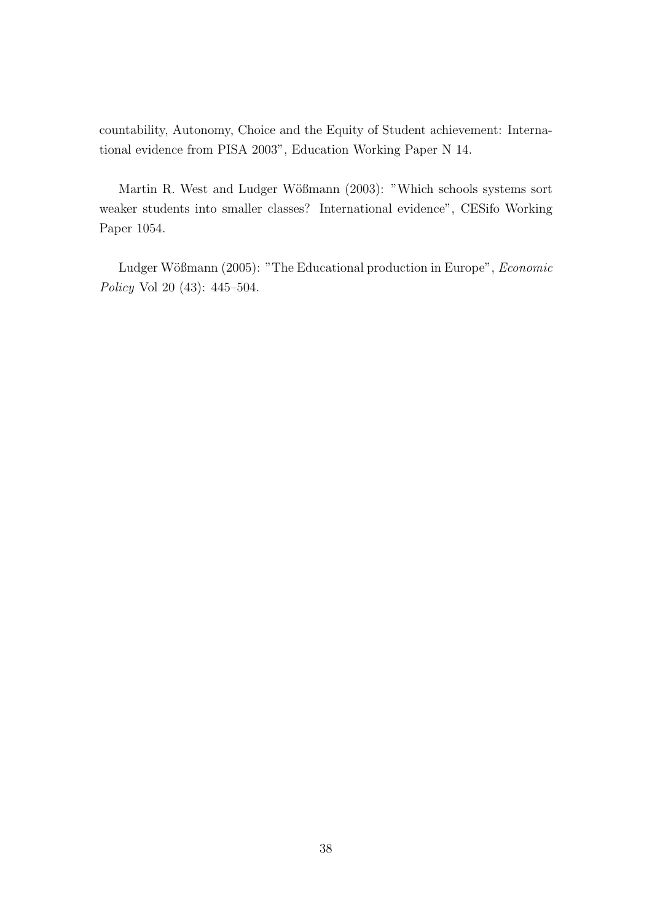countability, Autonomy, Choice and the Equity of Student achievement: International evidence from PISA 2003", Education Working Paper N 14.

Martin R. West and Ludger Wößmann (2003): "Which schools systems sort weaker students into smaller classes? International evidence", CESifo Working Paper 1054.

Ludger Wößmann (2005): "The Educational production in Europe", Economic Policy Vol 20 (43): 445–504.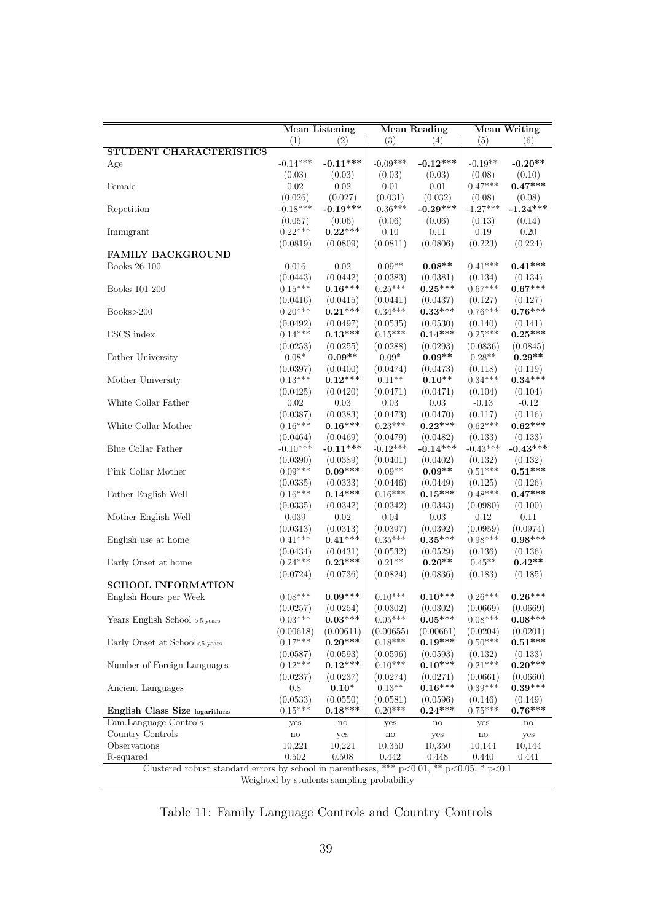|                                                                                                   | <b>Mean Listening</b><br><b>Mean Reading</b> |                                           |                        |                            | <b>Mean Writing</b>  |                      |  |
|---------------------------------------------------------------------------------------------------|----------------------------------------------|-------------------------------------------|------------------------|----------------------------|----------------------|----------------------|--|
|                                                                                                   | (1)                                          | (2)                                       | (3)                    | (4)                        | (5)                  | (6)                  |  |
| <b>STUDENT CHARACTERISTICS</b>                                                                    |                                              |                                           |                        |                            |                      |                      |  |
| Age                                                                                               | $-0.14***$                                   | $-0.11***$                                | $-0.09***$             | $-0.12***$                 | $-0.19**$            | $-0.20**$            |  |
|                                                                                                   | (0.03)                                       | (0.03)                                    | (0.03)                 | (0.03)                     | (0.08)               | (0.10)               |  |
| Female                                                                                            | 0.02                                         | 0.02                                      | 0.01                   | 0.01                       | $0.47***$            | $0.47***$            |  |
|                                                                                                   | (0.026)                                      | (0.027)                                   | (0.031)                | (0.032)                    | (0.08)               | (0.08)               |  |
| Repetition                                                                                        | $-0.18***$                                   | $-0.19***$                                | $-0.36***$             | $-0.29***$                 | $-1.27***$           | $-1.24***$           |  |
|                                                                                                   | (0.057)                                      | (0.06)                                    | (0.06)                 | (0.06)                     | (0.13)               | (0.14)               |  |
| Immigrant                                                                                         | $0.22***$                                    | $0.22***$                                 | 0.10                   | 0.11                       | 0.19                 | 0.20                 |  |
|                                                                                                   | (0.0819)                                     | (0.0809)                                  | (0.0811)               | (0.0806)                   | (0.223)              | (0.224)              |  |
| <b>FAMILY BACKGROUND</b>                                                                          |                                              |                                           |                        |                            |                      |                      |  |
| <b>Books 26-100</b>                                                                               | 0.016                                        | 0.02                                      | $0.09**$               | $0.08**$                   | $0.41***$            | $0.41***$            |  |
|                                                                                                   | (0.0443)                                     | (0.0442)                                  | (0.0383)               | (0.0381)                   | (0.134)              | (0.134)              |  |
| Books 101-200                                                                                     | $0.15***$                                    | $0.16***$                                 | $0.25***$              | $0.25***$                  | $0.67***$            | $0.67***$            |  |
|                                                                                                   | (0.0416)                                     | (0.0415)                                  | (0.0441)               | (0.0437)                   | (0.127)              | (0.127)              |  |
| Books > 200                                                                                       | $0.20***$                                    | $0.21***$                                 | $0.34***$              | $0.33***$                  | $0.76***$            | $0.76***$            |  |
|                                                                                                   | (0.0492)                                     | (0.0497)                                  | (0.0535)               | (0.0530)                   | (0.140)              | (0.141)              |  |
| ESCS index                                                                                        | $0.14***$                                    | $0.13***$                                 | $0.15***$              | $0.14***$                  | $0.25***$            | $0.25***$            |  |
|                                                                                                   | (0.0253)                                     | (0.0255)                                  | (0.0288)               | (0.0293)                   | (0.0836)             | (0.0845)             |  |
| Father University                                                                                 | $0.08*$                                      | $0.09**$                                  | $0.09*$                | $0.09**$                   | $0.28**$             | $0.29**$             |  |
|                                                                                                   | (0.0397)                                     | (0.0400)                                  | (0.0474)               | (0.0473)                   | (0.118)              | (0.119)              |  |
| Mother University                                                                                 | $0.13***$                                    | $0.12***$                                 | $0.11**$               | $0.10**$                   | $0.34***$            | $0.34***$            |  |
|                                                                                                   | (0.0425)                                     | (0.0420)                                  | (0.0471)               | (0.0471)                   | (0.104)              | (0.104)              |  |
| White Collar Father                                                                               | 0.02                                         | 0.03                                      | 0.03                   | 0.03                       | $-0.13$              | $-0.12$              |  |
|                                                                                                   | (0.0387)                                     | (0.0383)                                  | (0.0473)               | (0.0470)                   | (0.117)              | (0.116)              |  |
| White Collar Mother                                                                               | $0.16***$                                    | $0.16***$                                 | $0.23***$              | $0.22***$                  | $0.62***$            | $0.62***$            |  |
|                                                                                                   | (0.0464)                                     | (0.0469)                                  | (0.0479)               | (0.0482)                   | (0.133)              | (0.133)              |  |
| Blue Collar Father                                                                                | $-0.10***$                                   | $-0.11***$                                | $-0.12***$             | $-0.14***$                 | $-0.43***$           | $-0.43***$           |  |
|                                                                                                   | (0.0390)                                     | (0.0389)                                  | (0.0401)               | (0.0402)                   | (0.132)              | (0.132)              |  |
| Pink Collar Mother                                                                                | $0.09***$                                    | $0.09***$                                 | $0.09**$               | $0.09**$                   | $0.51***$            | $0.51***$            |  |
|                                                                                                   | (0.0335)                                     | (0.0333)                                  | (0.0446)               | (0.0449)                   | (0.125)              | (0.126)              |  |
| Father English Well                                                                               | $0.16***$                                    | $0.14***$                                 | $0.16***$              | $0.15***$                  | $0.48***$            | $0.47***$            |  |
|                                                                                                   | (0.0335)                                     | (0.0342)                                  | (0.0342)               | (0.0343)                   | (0.0980)             | (0.100)              |  |
| Mother English Well                                                                               | 0.039                                        | 0.02                                      | 0.04                   | $0.03\,$                   | 0.12                 | $0.11\,$             |  |
|                                                                                                   | (0.0313)                                     | (0.0313)                                  | (0.0397)               | (0.0392)                   | (0.0959)             | (0.0974)             |  |
| English use at home                                                                               | $0.41***$                                    | $0.41***$                                 | $0.35***$              | $0.35***$                  | $0.98***$            | $0.98***$            |  |
|                                                                                                   | (0.0434)                                     | (0.0431)                                  | (0.0532)               | (0.0529)                   | (0.136)              | (0.136)              |  |
| Early Onset at home                                                                               | $0.24***$                                    | $0.23***$                                 | $0.21**$               | $0.20**$                   | $0.45**$             | $0.42**$             |  |
|                                                                                                   | (0.0724)                                     | (0.0736)                                  | (0.0824)               | (0.0836)                   | (0.183)              | (0.185)              |  |
| <b>SCHOOL INFORMATION</b>                                                                         |                                              |                                           |                        |                            |                      |                      |  |
| English Hours per Week                                                                            | $0.08***$                                    | $0.09***$                                 | $0.10***$              | $0.10***$                  | $0.26***$            | $0.26***$            |  |
|                                                                                                   | (0.0257)                                     | (0.0254)                                  | (0.0302)               | (0.0302)                   | (0.0669)             | (0.0669)             |  |
|                                                                                                   | $0.03***$                                    | $0.03***$                                 | $0.05***$              | $0.05***$                  | $0.08***$            | $0.08***$            |  |
| Years English School >5 years                                                                     |                                              | (0.00611)                                 |                        | (0.00661)                  | (0.0204)             | (0.0201)             |  |
| Early Onset at School<5 years                                                                     | (0.00618)<br>$0.17***$                       | $0.20***$                                 | (0.00655)<br>$0.18***$ | $0.19***$                  | $0.50***$            | $0.51***$            |  |
|                                                                                                   |                                              | (0.0593)                                  |                        | (0.0593)                   |                      |                      |  |
|                                                                                                   | (0.0587)<br>$0.12***$                        |                                           | (0.0596)<br>$0.10***$  | $0.10***$                  | (0.132)<br>$0.21***$ | (0.133)<br>$0.20***$ |  |
| Number of Foreign Languages                                                                       |                                              | $0.12***$                                 |                        |                            |                      |                      |  |
|                                                                                                   | (0.0237)                                     | (0.0237)                                  | (0.0274)               | (0.0271)                   | (0.0661)             | (0.0660)             |  |
| Ancient Languages                                                                                 | 0.8                                          | $0.10*$                                   | $0.13**$               | $0.16***$                  | $0.39***$            | $0.39***$            |  |
|                                                                                                   | (0.0533)                                     | (0.0550)                                  | (0.0581)               | (0.0596)                   | (0.146)              | (0.149)              |  |
| English Class Size logarithms                                                                     | $0.15***$                                    | $0.18***$                                 | $0.20***$              | $0.24***$                  | $0.75***$            | $0.76***$            |  |
| Fam.Language Controls                                                                             | yes                                          | $\mathop{\rm no}\nolimits$                | yes                    | $\mathop{\rm no}\nolimits$ | yes                  | $\mathbf{n}$         |  |
| Country Controls                                                                                  | $\rm {no}$                                   | yes                                       | $\rm{no}$              | yes                        | $\rm {no}$           | yes                  |  |
| Observations                                                                                      | 10,221                                       | 10,221                                    | 10,350                 | 10,350                     | 10,144               | 10,144               |  |
| R-squared                                                                                         | 0.502                                        | 0.508                                     | 0.442                  | 0.448                      | 0.440                | 0.441                |  |
| Clustered robust standard errors by school in parentheses, *** $p<0.01$ , ** $p<0.05$ , * $p<0.1$ |                                              |                                           |                        |                            |                      |                      |  |
|                                                                                                   |                                              | Weighted by students sampling probability |                        |                            |                      |                      |  |

Table 11: Family Language Controls and Country Controls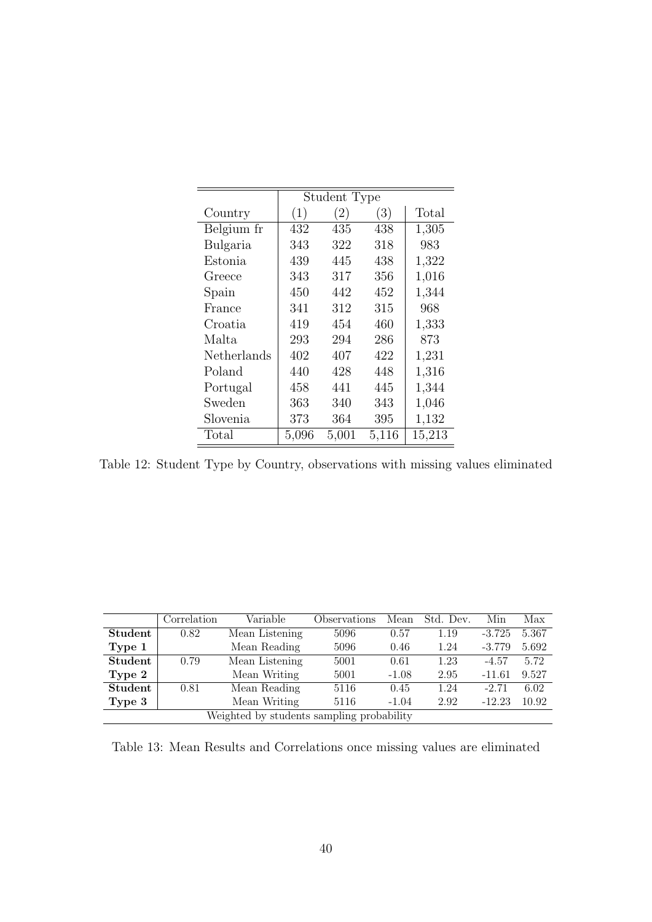|             | Student Type |       |       |        |
|-------------|--------------|-------|-------|--------|
| Country     | (1)          | (2)   | (3)   | Total  |
| Belgium fr  | 432          | 435   | 438   | 1,305  |
| Bulgaria    | 343          | 322   | 318   | 983    |
| Estonia     | 439          | 445   | 438   | 1,322  |
| Greece      | 343          | 317   | 356   | 1,016  |
| Spain       | 450          | 442   | 452   | 1,344  |
| France      | 341          | 312   | 315   | 968    |
| Croatia     | 419          | 454   | 460   | 1,333  |
| Malta       | 293          | 294   | 286   | 873    |
| Netherlands | 402          | 407   | 422   | 1,231  |
| Poland      | 440          | 428   | 448   | 1,316  |
| Portugal    | 458          | 441   | 445   | 1,344  |
| Sweden      | 363          | 340   | 343   | 1,046  |
| Slovenia    | 373          | 364   | 395   | 1,132  |
| Total       | 5,096        | 5,001 | 5,116 | 15,213 |

Table 12: Student Type by Country, observations with missing values eliminated

|                                           | Correlation | Variable       | Observations | Mean    | Std. Dev. | Min      | Max   |
|-------------------------------------------|-------------|----------------|--------------|---------|-----------|----------|-------|
| Student                                   | 0.82        | Mean Listening | 5096         | 0.57    | 1.19      | $-3.725$ | 5.367 |
| Type 1                                    |             | Mean Reading   | 5096         | 0.46    | 1.24      | $-3.779$ | 5.692 |
| <b>Student</b>                            | 0.79        | Mean Listening | 5001         | 0.61    | 1.23      | $-4.57$  | 5.72  |
| Type 2                                    |             | Mean Writing   | 5001         | $-1.08$ | 2.95      | $-11.61$ | 9.527 |
| <b>Student</b>                            | 0.81        | Mean Reading   | 5116         | 0.45    | 1.24      | $-2.71$  | 6.02  |
| Type 3                                    |             | Mean Writing   | 5116         | $-1.04$ | 2.92      | $-12.23$ | 10.92 |
| Weighted by students sampling probability |             |                |              |         |           |          |       |

Table 13: Mean Results and Correlations once missing values are eliminated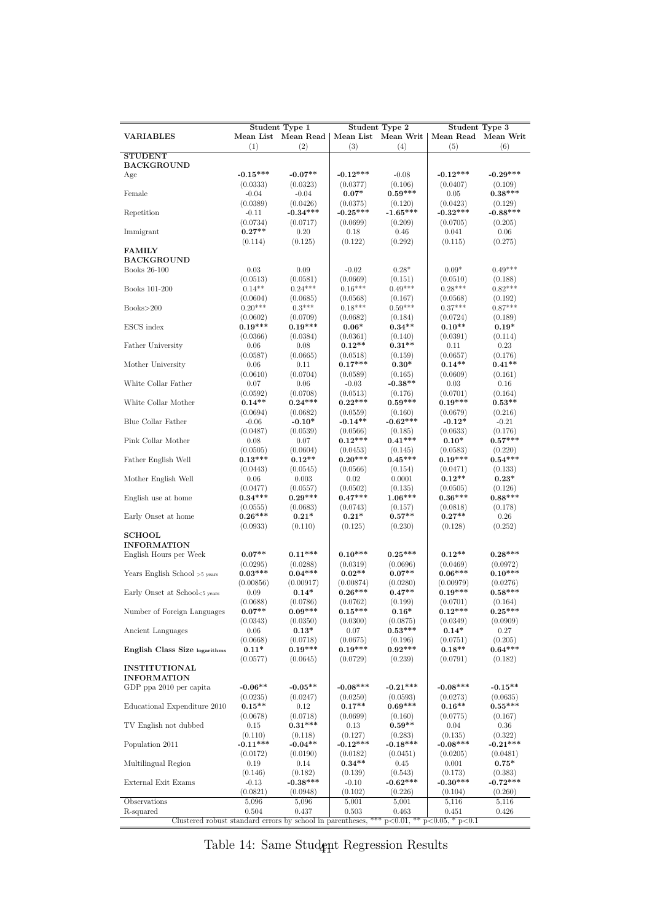| <b>Student Type 1</b><br><b>Student Type 2</b><br>Student Type 3 |                      |                       |                       |                     |                       |                      |  |
|------------------------------------------------------------------|----------------------|-----------------------|-----------------------|---------------------|-----------------------|----------------------|--|
| <b>VARIABLES</b>                                                 |                      | Mean List Mean Read   |                       | Mean List Mean Writ | Mean Read Mean Writ   |                      |  |
|                                                                  | (1)                  | (2)                   | (3)                   | (4)                 | (5)                   | (6)                  |  |
| <b>STUDENT</b><br><b>BACKGROUND</b>                              |                      |                       |                       |                     |                       |                      |  |
| Age                                                              | $-0.15***$           | $-0.07**$             | $-0.12***$            | $-0.08$             | $-0.12***$            | $-0.29***$           |  |
|                                                                  | (0.0333)             | (0.0323)              | (0.0377)              | (0.106)             | (0.0407)              | (0.109)              |  |
| Female                                                           | $-0.04$              | $-0.04$               | $0.07*$               | $0.59***$           | 0.05                  | $0.38***$            |  |
|                                                                  | (0.0389)             | (0.0426)              | (0.0375)              | (0.120)             | (0.0423)              | (0.129)              |  |
| Repetition                                                       | $-0.11$              | $-0.34***$            | $-0.25***$            | $-1.65***$          | $-0.32***$            | $-0.88***$           |  |
|                                                                  | (0.0734)             | (0.0717)              | (0.0699)              | (0.209)             | (0.0705)              | (0.205)              |  |
| Immigrant                                                        | $0.27**$             | 0.20                  | 0.18                  | 0.46                | 0.041                 | 0.06                 |  |
|                                                                  | (0.114)              | (0.125)               | (0.122)               | (0.292)             | (0.115)               | (0.275)              |  |
| <b>FAMILY</b>                                                    |                      |                       |                       |                     |                       |                      |  |
| <b>BACKGROUND</b>                                                |                      |                       |                       |                     |                       |                      |  |
| Books 26-100                                                     | 0.03                 | 0.09                  | $-0.02$               | $0.28*$             | $0.09*$               | $0.49***$            |  |
|                                                                  | (0.0513)             | (0.0581)              | (0.0669)              | (0.151)             | (0.0510)              | (0.188)              |  |
| Books 101-200                                                    | $0.14**$             | $0.24***$             | $0.16***$             | $0.49***$           | $0.28***$             | $0.82***$            |  |
|                                                                  | (0.0604)             | (0.0685)              | (0.0568)              | (0.167)             | (0.0568)              | (0.192)              |  |
| Books>200                                                        | $0.20***$            | $0.3***$              | $0.18***$             | $0.59***$           | $0.37***$             | $0.87***$            |  |
|                                                                  | (0.0602)             | (0.0709)              | (0.0682)              | (0.184)             | (0.0724)              | (0.189)              |  |
| ESCS index                                                       | $0.19***$            | $0.19***$             | $0.06*$               | $0.34**$            | $0.10**$              | $0.19^{\ast}$        |  |
|                                                                  | (0.0366)             | (0.0384)              | (0.0361)              | (0.140)             | (0.0391)              | (0.114)              |  |
| Father University                                                | 0.06                 | 0.08                  | $0.12**$              | $0.31**$            | 0.11                  | 0.23                 |  |
|                                                                  | (0.0587)             | (0.0665)              | (0.0518)              | (0.159)             | (0.0657)              | (0.176)              |  |
| Mother University                                                | 0.06                 | 0.11                  | $0.17***$             | $0.30*$             | $0.14**$              | $0.41**$             |  |
|                                                                  | (0.0610)             | (0.0704)              | (0.0589)              | (0.165)             | (0.0609)              | (0.161)              |  |
| White Collar Father                                              | 0.07                 | 0.06                  | $-0.03$               | $-0.38**$           | 0.03                  | 0.16                 |  |
|                                                                  | (0.0592)             | (0.0708)              | (0.0513)              | (0.176)             | (0.0701)              | (0.164)              |  |
| White Collar Mother                                              | $0.14**$             | $0.24***$             | $0.22***$             | $0.59***$           | $0.19***$             | $0.53**$             |  |
|                                                                  | (0.0694)             | (0.0682)              | (0.0559)              | (0.160)             | (0.0679)              | (0.216)              |  |
| Blue Collar Father                                               | $-0.06$              | $-0.10*$              | $-0.14**$             | $-0.62***$          | $-0.12*$              | $-0.21$              |  |
|                                                                  | (0.0487)             | (0.0539)              | (0.0566)              | (0.185)             | (0.0633)              | (0.176)              |  |
| Pink Collar Mother                                               | 0.08                 | 0.07                  | $0.12***$             | $0.41***$           | $0.10*$               | $0.57***$            |  |
|                                                                  | (0.0505)             | (0.0604)              | (0.0453)              | (0.145)             | (0.0583)              | (0.220)              |  |
| Father English Well                                              | $0.13***$            | $0.12**$              | $0.20***$             | $0.45***$           | $0.19***$             | $0.54***$            |  |
|                                                                  | (0.0443)             | (0.0545)              | (0.0566)              | (0.154)             | (0.0471)              | (0.133)              |  |
| Mother English Well                                              | 0.06                 | 0.003                 | 0.02                  | 0.0001              | $0.12**$              | $0.23*$              |  |
|                                                                  | (0.0477)             | (0.0557)              | (0.0502)              | (0.135)             | (0.0505)              | (0.126)              |  |
| English use at home                                              | $0.34***$            | $0.29***$             | $0.47***$             | $1.06***$           | $0.36***$             | $0.88***$            |  |
|                                                                  | (0.0555)             | (0.0683)              | (0.0743)              | (0.157)             | (0.0818)              | (0.178)              |  |
| Early Onset at home                                              | $0.26***$            | $0.21*$               | $0.21*$               | $0.57**$            | $0.27**$              | 0.26                 |  |
|                                                                  | (0.0933)             | (0.110)               | (0.125)               | (0.230)             | (0.128)               | (0.252)              |  |
| <b>SCHOOL</b>                                                    |                      |                       |                       |                     |                       |                      |  |
| <b>INFORMATION</b>                                               |                      |                       |                       |                     |                       |                      |  |
| English Hours per Week                                           | $0.07**$             | $0.11***$             | $0.10***$             | $0.25***$           | $0.12**$              | $0.28***$            |  |
|                                                                  | (0.0295)             | (0.0288)              | (0.0319)              | (0.0696)            | (0.0469)              | (0.0972)             |  |
| Years English School >5 years                                    | $0.03***$            | $0.04***$             | $0.02**$              | $0.07**$            | $0.06***$             | $0.10***$            |  |
|                                                                  | (0.00856)            | (0.00917)             | (0.00874)             | (0.0280)            | (0.00979)             | (0.0276)             |  |
| Early Onset at School<5 years                                    | 0.09                 | $0.14*$               | $0.26***$             | $0.47**$            | $0.19***$             | $0.58***$            |  |
|                                                                  | (0.0688)<br>$0.07**$ | (0.0786)<br>$0.09***$ | (0.0762)<br>$0.15***$ | (0.199)             | (0.0701)<br>$0.12***$ | (0.164)<br>$0.25***$ |  |
| Number of Foreign Languages                                      | (0.0343)             | (0.0350)              | (0.0300)              | $0.16*$<br>(0.0875) | (0.0349)              | (0.0909)             |  |
|                                                                  | $0.06\,$             | $0.13*$               | $0.07\,$              | $0.53***$           | $0.14*$               | 0.27                 |  |
| Ancient Languages                                                | (0.0668)             | (0.0718)              | (0.0675)              | (0.196)             | (0.0751)              | (0.205)              |  |
| English Class Size logarithms                                    | $0.11*$              | $0.19***$             | $0.19***$             | $0.92***$           | $0.18**$              | $0.64***$            |  |
|                                                                  | (0.0577)             | (0.0645)              | (0.0729)              | (0.239)             | (0.0791)              | (0.182)              |  |
| <b>INSTITUTIONAL</b>                                             |                      |                       |                       |                     |                       |                      |  |
| <b>INFORMATION</b>                                               |                      |                       |                       |                     |                       |                      |  |
| GDP ppa 2010 per capita                                          | $-0.06**$            | $-0.05**$             | $-0.08***$            | $-0.21***$          | $-0.08***$            | $-0.15**$            |  |
|                                                                  | (0.0235)             | (0.0247)              | (0.0250)              | (0.0593)            | (0.0273)              | (0.0635)             |  |
| Educational Expenditure 2010                                     | $0.15**$             | 0.12                  | $0.17**$              | $0.69***$           | $0.16**$              | $0.55***$            |  |
|                                                                  | (0.0678)             | (0.0718)              | (0.0699)              | (0.160)             | (0.0775)              | (0.167)              |  |
| TV English not dubbed                                            | 0.15                 | $0.31***$             | 0.13                  | $0.59**$            | 0.04                  | 0.36                 |  |
|                                                                  | (0.110)              | (0.118)               | (0.127)               | (0.283)             | (0.135)               | (0.322)              |  |
| Population 2011                                                  | $-0.11***$           | $-0.04**$             | $-0.12***$            | $-0.18***$          | $-0.08***$            | $-0.21***$           |  |
|                                                                  | (0.0172)             | (0.0190)              | (0.0182)              | (0.0451)            | (0.0205)              | (0.0481)             |  |
| Multilingual Region                                              | 0.19                 | 0.14                  | $0.34**$              | $0.45\,$            | 0.001                 | $0.75*$              |  |
|                                                                  | (0.146)              | (0.182)               | (0.139)               | (0.543)             | (0.173)               | (0.383)              |  |
| External Exit Exams                                              |                      | $-0.38***$            | $-0.10$               | $-0.62***$          | $-0.30***$            | $-0.72***$           |  |
|                                                                  | $-0.13$              |                       | (0.102)               | (0.226)             | (0.104)               | (0.260)              |  |
| Observations                                                     | (0.0821)<br>5,096    | (0.0948)<br>5,096     | 5,001                 | 5,001               | 5,116                 | 5,116                |  |
|                                                                  | 0.504                | 0.437                 | 0.503                 | 0.463               | 0.451                 | 0.426                |  |
| R-squared                                                        |                      |                       |                       |                     |                       |                      |  |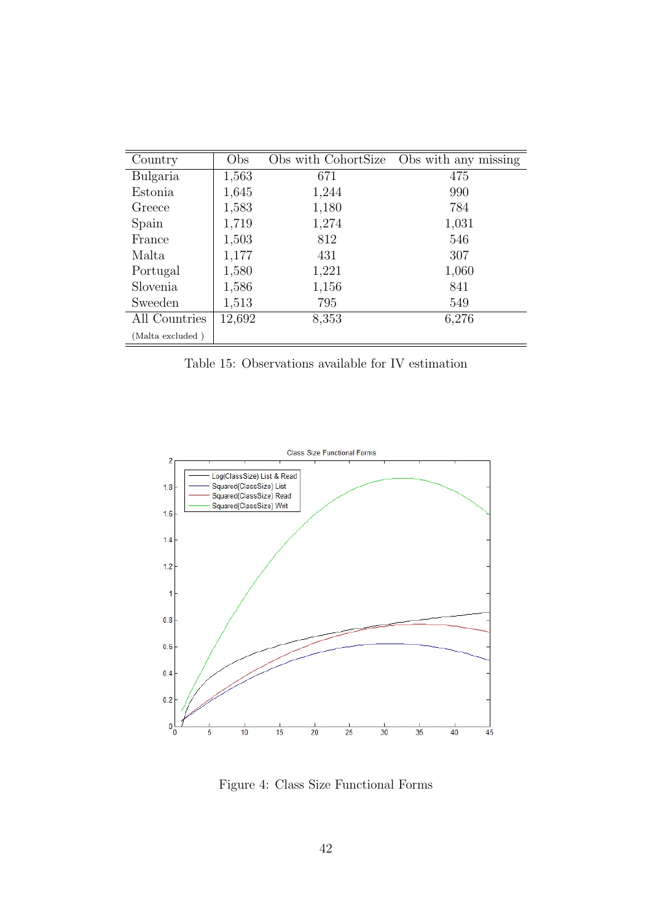| Country          | Obs    | Obs with CohortSize | Obs with any missing |
|------------------|--------|---------------------|----------------------|
| Bulgaria         | 1,563  | 671                 | 475                  |
| Estonia          | 1,645  | 1,244               | 990                  |
| Greece           | 1,583  | 1,180               | 784                  |
| Spain            | 1,719  | 1,274               | 1,031                |
| France           | 1,503  | 812                 | 546                  |
| Malta            | 1,177  | 431                 | 307                  |
| Portugal         | 1,580  | 1,221               | 1,060                |
| Slovenia         | 1,586  | 1,156               | 841                  |
| Sweeden          | 1,513  | 795                 | 549                  |
| All Countries    | 12,692 | 8,353               | 6,276                |
| (Malta excluded) |        |                     |                      |

Table 15: Observations available for IV estimation



Figure 4: Class Size Functional Forms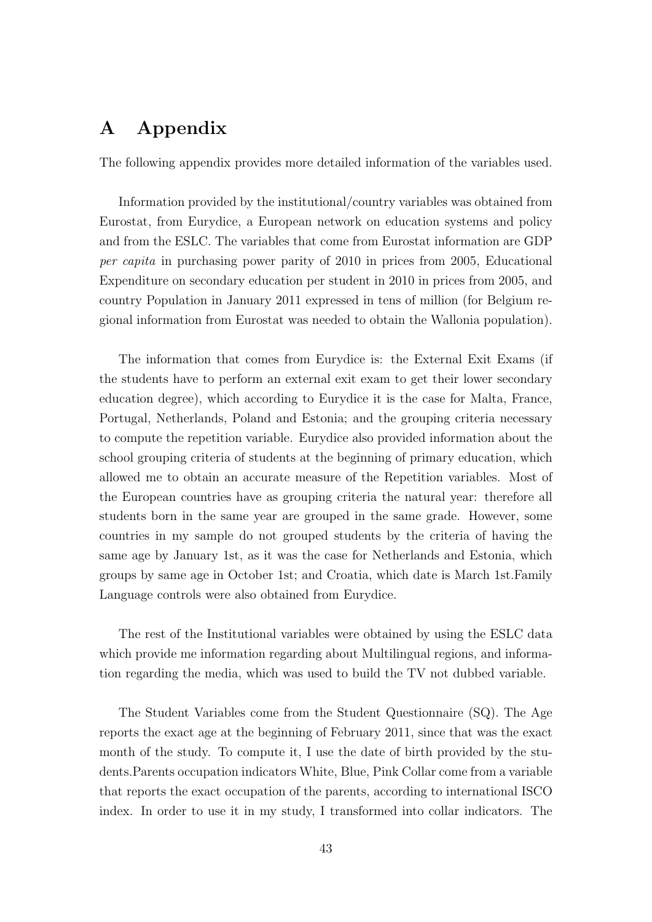# A Appendix

The following appendix provides more detailed information of the variables used.

Information provided by the institutional/country variables was obtained from Eurostat, from Eurydice, a European network on education systems and policy and from the ESLC. The variables that come from Eurostat information are GDP per capita in purchasing power parity of 2010 in prices from 2005, Educational Expenditure on secondary education per student in 2010 in prices from 2005, and country Population in January 2011 expressed in tens of million (for Belgium regional information from Eurostat was needed to obtain the Wallonia population).

The information that comes from Eurydice is: the External Exit Exams (if the students have to perform an external exit exam to get their lower secondary education degree), which according to Eurydice it is the case for Malta, France, Portugal, Netherlands, Poland and Estonia; and the grouping criteria necessary to compute the repetition variable. Eurydice also provided information about the school grouping criteria of students at the beginning of primary education, which allowed me to obtain an accurate measure of the Repetition variables. Most of the European countries have as grouping criteria the natural year: therefore all students born in the same year are grouped in the same grade. However, some countries in my sample do not grouped students by the criteria of having the same age by January 1st, as it was the case for Netherlands and Estonia, which groups by same age in October 1st; and Croatia, which date is March 1st.Family Language controls were also obtained from Eurydice.

The rest of the Institutional variables were obtained by using the ESLC data which provide me information regarding about Multilingual regions, and information regarding the media, which was used to build the TV not dubbed variable.

The Student Variables come from the Student Questionnaire (SQ). The Age reports the exact age at the beginning of February 2011, since that was the exact month of the study. To compute it, I use the date of birth provided by the students.Parents occupation indicators White, Blue, Pink Collar come from a variable that reports the exact occupation of the parents, according to international ISCO index. In order to use it in my study, I transformed into collar indicators. The